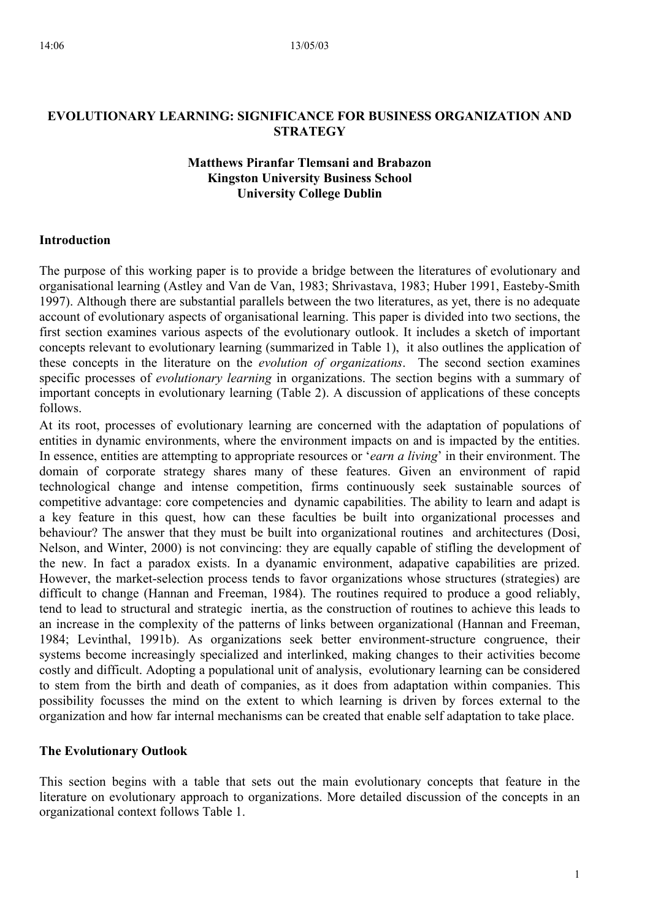# **EVOLUTIONARY LEARNING: SIGNIFICANCE FOR BUSINESS ORGANIZATION AND STRATEGY**

# **Matthews Piranfar Tlemsani and Brabazon Kingston University Business School University College Dublin**

## **Introduction**

The purpose of this working paper is to provide a bridge between the literatures of evolutionary and organisational learning (Astley and Van de Van, 1983; Shrivastava, 1983; Huber 1991, Easteby-Smith 1997). Although there are substantial parallels between the two literatures, as yet, there is no adequate account of evolutionary aspects of organisational learning. This paper is divided into two sections, the first section examines various aspects of the evolutionary outlook. It includes a sketch of important concepts relevant to evolutionary learning (summarized in Table 1), it also outlines the application of these concepts in the literature on the *evolution of organizations*. The second section examines specific processes of *evolutionary learning* in organizations. The section begins with a summary of important concepts in evolutionary learning (Table 2). A discussion of applications of these concepts follows.

At its root, processes of evolutionary learning are concerned with the adaptation of populations of entities in dynamic environments, where the environment impacts on and is impacted by the entities. In essence, entities are attempting to appropriate resources or '*earn a living*' in their environment. The domain of corporate strategy shares many of these features. Given an environment of rapid technological change and intense competition, firms continuously seek sustainable sources of competitive advantage: core competencies and dynamic capabilities. The ability to learn and adapt is a key feature in this quest, how can these faculties be built into organizational processes and behaviour? The answer that they must be built into organizational routines and architectures (Dosi, Nelson, and Winter, 2000) is not convincing: they are equally capable of stifling the development of the new. In fact a paradox exists. In a dyanamic environment, adapative capabilities are prized. However, the market-selection process tends to favor organizations whose structures (strategies) are difficult to change (Hannan and Freeman, 1984). The routines required to produce a good reliably, tend to lead to structural and strategic inertia, as the construction of routines to achieve this leads to an increase in the complexity of the patterns of links between organizational (Hannan and Freeman, 1984; Levinthal, 1991b). As organizations seek better environment-structure congruence, their systems become increasingly specialized and interlinked, making changes to their activities become costly and difficult. Adopting a populational unit of analysis, evolutionary learning can be considered to stem from the birth and death of companies, as it does from adaptation within companies. This possibility focusses the mind on the extent to which learning is driven by forces external to the organization and how far internal mechanisms can be created that enable self adaptation to take place.

### **The Evolutionary Outlook**

This section begins with a table that sets out the main evolutionary concepts that feature in the literature on evolutionary approach to organizations. More detailed discussion of the concepts in an organizational context follows Table 1.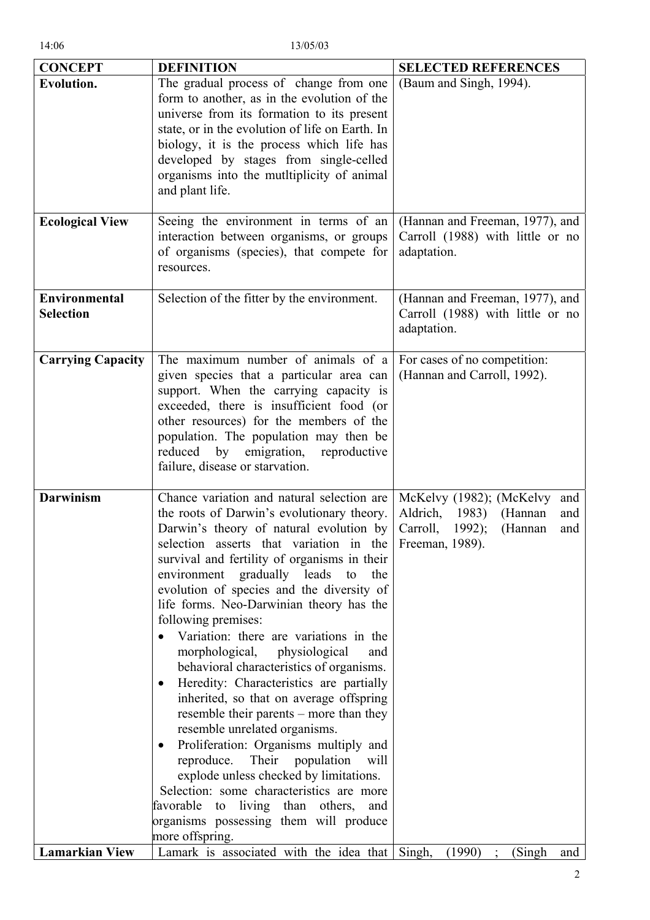| <b>CONCEPT</b>                           | <b>DEFINITION</b>                                                                                                                                                                                                                                                                                                                                                                                                                                                                                                                                                                                                                                                                                                                                                                                                                                                                                                                                                                                          | <b>SELECTED REFERENCES</b>                                                                                    |
|------------------------------------------|------------------------------------------------------------------------------------------------------------------------------------------------------------------------------------------------------------------------------------------------------------------------------------------------------------------------------------------------------------------------------------------------------------------------------------------------------------------------------------------------------------------------------------------------------------------------------------------------------------------------------------------------------------------------------------------------------------------------------------------------------------------------------------------------------------------------------------------------------------------------------------------------------------------------------------------------------------------------------------------------------------|---------------------------------------------------------------------------------------------------------------|
| <b>Evolution.</b>                        | The gradual process of change from one<br>form to another, as in the evolution of the<br>universe from its formation to its present<br>state, or in the evolution of life on Earth. In<br>biology, it is the process which life has<br>developed by stages from single-celled<br>organisms into the mutitiplicity of animal<br>and plant life.                                                                                                                                                                                                                                                                                                                                                                                                                                                                                                                                                                                                                                                             | (Baum and Singh, 1994).                                                                                       |
| <b>Ecological View</b>                   | Seeing the environment in terms of an<br>interaction between organisms, or groups<br>of organisms (species), that compete for<br>resources.                                                                                                                                                                                                                                                                                                                                                                                                                                                                                                                                                                                                                                                                                                                                                                                                                                                                | (Hannan and Freeman, 1977), and<br>Carroll (1988) with little or no<br>adaptation.                            |
| <b>Environmental</b><br><b>Selection</b> | Selection of the fitter by the environment.                                                                                                                                                                                                                                                                                                                                                                                                                                                                                                                                                                                                                                                                                                                                                                                                                                                                                                                                                                | (Hannan and Freeman, 1977), and<br>Carroll (1988) with little or no<br>adaptation.                            |
| <b>Carrying Capacity</b>                 | The maximum number of animals of a<br>given species that a particular area can<br>support. When the carrying capacity is<br>exceeded, there is insufficient food (or<br>other resources) for the members of the<br>population. The population may then be<br>emigration, reproductive<br>reduced<br>by<br>failure, disease or starvation.                                                                                                                                                                                                                                                                                                                                                                                                                                                                                                                                                                                                                                                                  | For cases of no competition:<br>(Hannan and Carroll, 1992).                                                   |
| <b>Darwinism</b>                         | Chance variation and natural selection are<br>the roots of Darwin's evolutionary theory.<br>Darwin's theory of natural evolution by<br>selection asserts that variation in the Freeman, 1989).<br>survival and fertility of organisms in their<br>environment gradually leads to<br>the<br>evolution of species and the diversity of<br>life forms. Neo-Darwinian theory has the<br>following premises:<br>Variation: there are variations in the<br>morphological, physiological<br>and<br>behavioral characteristics of organisms.<br>Heredity: Characteristics are partially<br>inherited, so that on average offspring<br>resemble their parents – more than they<br>resemble unrelated organisms.<br>Proliferation: Organisms multiply and<br>$\bullet$<br>Their<br>reproduce.<br>population<br>will<br>explode unless checked by limitations.<br>Selection: some characteristics are more<br>favorable<br>to living than others,<br>and<br>organisms possessing them will produce<br>more offspring. | McKelvy (1982); (McKelvy<br>and<br>Aldrich, 1983)<br>(Hannan<br>and<br>Carroll,<br>(Hannan<br>$1992$ ;<br>and |
| <b>Lamarkian View</b>                    | Lamark is associated with the idea that Singh,                                                                                                                                                                                                                                                                                                                                                                                                                                                                                                                                                                                                                                                                                                                                                                                                                                                                                                                                                             | (1990)<br>(Singh)<br>and                                                                                      |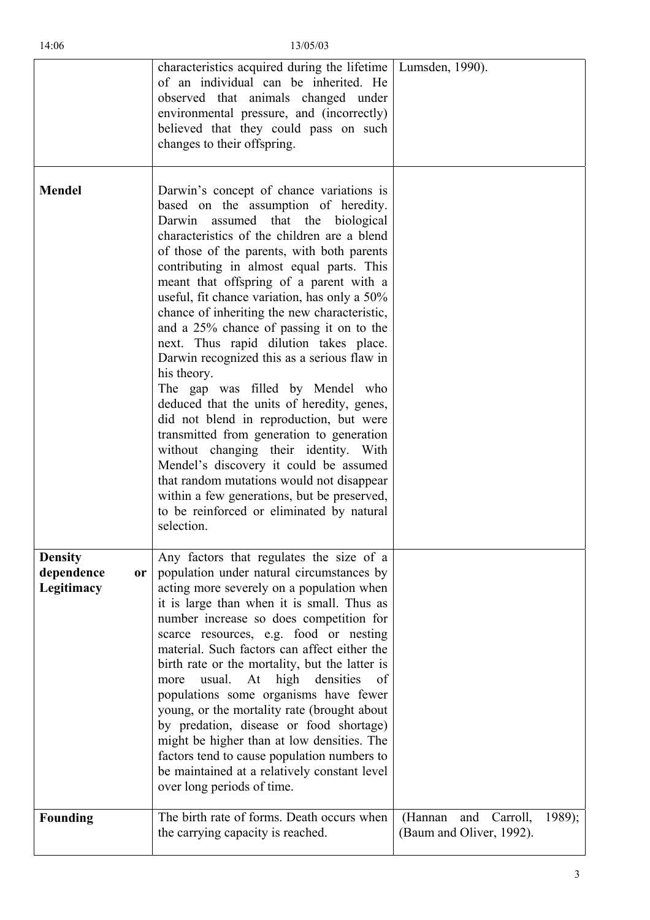|                                                         | characteristics acquired during the lifetime   Lumsden, 1990).<br>of an individual can be inherited. He<br>observed that animals changed under<br>environmental pressure, and (incorrectly)<br>believed that they could pass on such<br>changes to their offspring.                                                                                                                                                                                                                                                                                                                                                                                                                                                                                                                                                                                                                                                                                                                |                                                               |
|---------------------------------------------------------|------------------------------------------------------------------------------------------------------------------------------------------------------------------------------------------------------------------------------------------------------------------------------------------------------------------------------------------------------------------------------------------------------------------------------------------------------------------------------------------------------------------------------------------------------------------------------------------------------------------------------------------------------------------------------------------------------------------------------------------------------------------------------------------------------------------------------------------------------------------------------------------------------------------------------------------------------------------------------------|---------------------------------------------------------------|
| <b>Mendel</b>                                           | Darwin's concept of chance variations is<br>based on the assumption of heredity.<br>Darwin assumed that the biological<br>characteristics of the children are a blend<br>of those of the parents, with both parents<br>contributing in almost equal parts. This<br>meant that offspring of a parent with a<br>useful, fit chance variation, has only a 50%<br>chance of inheriting the new characteristic,<br>and a 25% chance of passing it on to the<br>next. Thus rapid dilution takes place.<br>Darwin recognized this as a serious flaw in<br>his theory.<br>The gap was filled by Mendel who<br>deduced that the units of heredity, genes,<br>did not blend in reproduction, but were<br>transmitted from generation to generation<br>without changing their identity. With<br>Mendel's discovery it could be assumed<br>that random mutations would not disappear<br>within a few generations, but be preserved,<br>to be reinforced or eliminated by natural<br>selection. |                                                               |
| <b>Density</b><br>dependence<br><b>or</b><br>Legitimacy | Any factors that regulates the size of a<br>population under natural circumstances by<br>acting more severely on a population when<br>it is large than when it is small. Thus as<br>number increase so does competition for<br>scarce resources, e.g. food or nesting<br>material. Such factors can affect either the<br>birth rate or the mortality, but the latter is<br>At<br>high densities<br>usual.<br>more<br><sub>of</sub><br>populations some organisms have fewer<br>young, or the mortality rate (brought about<br>by predation, disease or food shortage)<br>might be higher than at low densities. The<br>factors tend to cause population numbers to<br>be maintained at a relatively constant level<br>over long periods of time.                                                                                                                                                                                                                                   |                                                               |
| <b>Founding</b>                                         | The birth rate of forms. Death occurs when<br>the carrying capacity is reached.                                                                                                                                                                                                                                                                                                                                                                                                                                                                                                                                                                                                                                                                                                                                                                                                                                                                                                    | (Hannan<br>and Carroll,<br>1989);<br>(Baum and Oliver, 1992). |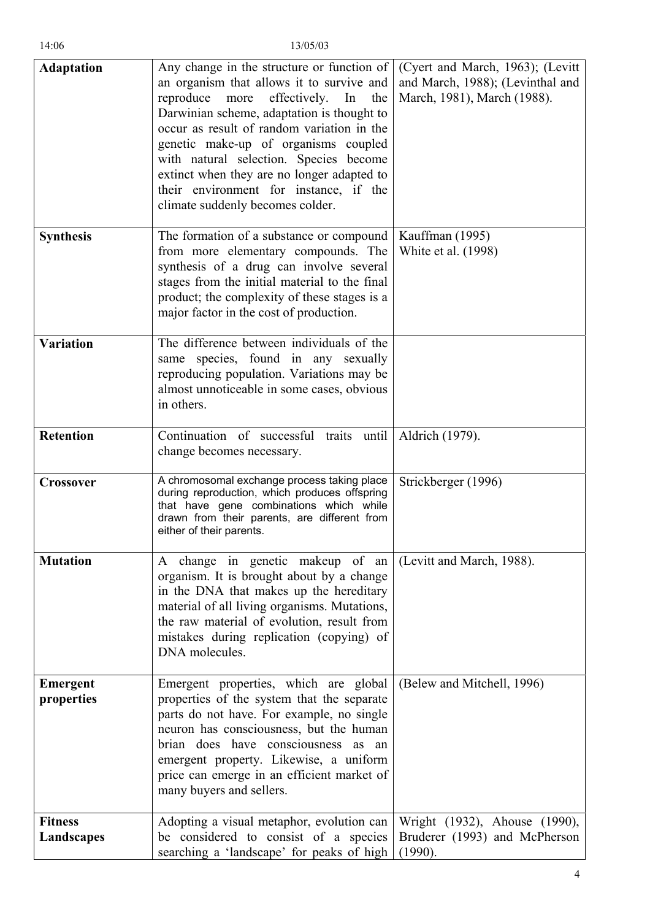| <b>Adaptation</b>             | Any change in the structure or function of<br>an organism that allows it to survive and<br>reproduce<br>effectively.<br>more<br>the<br>In<br>Darwinian scheme, adaptation is thought to<br>occur as result of random variation in the<br>genetic make-up of organisms coupled<br>with natural selection. Species become<br>extinct when they are no longer adapted to<br>their environment for instance, if the<br>climate suddenly becomes colder. | (Cyert and March, 1963); (Levitt<br>and March, 1988); (Levinthal and<br>March, 1981), March (1988). |
|-------------------------------|-----------------------------------------------------------------------------------------------------------------------------------------------------------------------------------------------------------------------------------------------------------------------------------------------------------------------------------------------------------------------------------------------------------------------------------------------------|-----------------------------------------------------------------------------------------------------|
| <b>Synthesis</b>              | The formation of a substance or compound<br>from more elementary compounds. The<br>synthesis of a drug can involve several<br>stages from the initial material to the final<br>product; the complexity of these stages is a<br>major factor in the cost of production.                                                                                                                                                                              | Kauffman (1995)<br>White et al. (1998)                                                              |
| <b>Variation</b>              | The difference between individuals of the<br>same species, found in any sexually<br>reproducing population. Variations may be<br>almost unnoticeable in some cases, obvious<br>in others.                                                                                                                                                                                                                                                           |                                                                                                     |
| <b>Retention</b>              | Continuation of successful traits until<br>change becomes necessary.                                                                                                                                                                                                                                                                                                                                                                                | Aldrich (1979).                                                                                     |
| <b>Crossover</b>              | A chromosomal exchange process taking place<br>during reproduction, which produces offspring<br>that have gene combinations which while<br>drawn from their parents, are different from<br>either of their parents.                                                                                                                                                                                                                                 | Strickberger (1996)                                                                                 |
| <b>Mutation</b>               | A change in genetic makeup of an<br>organism. It is brought about by a change<br>in the DNA that makes up the hereditary<br>material of all living organisms. Mutations,<br>the raw material of evolution, result from<br>mistakes during replication (copying) of<br>DNA molecules.                                                                                                                                                                | (Levitt and March, 1988).                                                                           |
| <b>Emergent</b><br>properties | Emergent properties, which are global<br>properties of the system that the separate<br>parts do not have. For example, no single<br>neuron has consciousness, but the human<br>brian does have consciousness as<br>an<br>emergent property. Likewise, a uniform<br>price can emerge in an efficient market of<br>many buyers and sellers.                                                                                                           | (Belew and Mitchell, 1996)                                                                          |
| <b>Fitness</b><br>Landscapes  | Adopting a visual metaphor, evolution can<br>be considered to consist of a species<br>searching a 'landscape' for peaks of high                                                                                                                                                                                                                                                                                                                     | Wright (1932), Ahouse (1990),<br>Bruderer (1993) and McPherson<br>(1990).                           |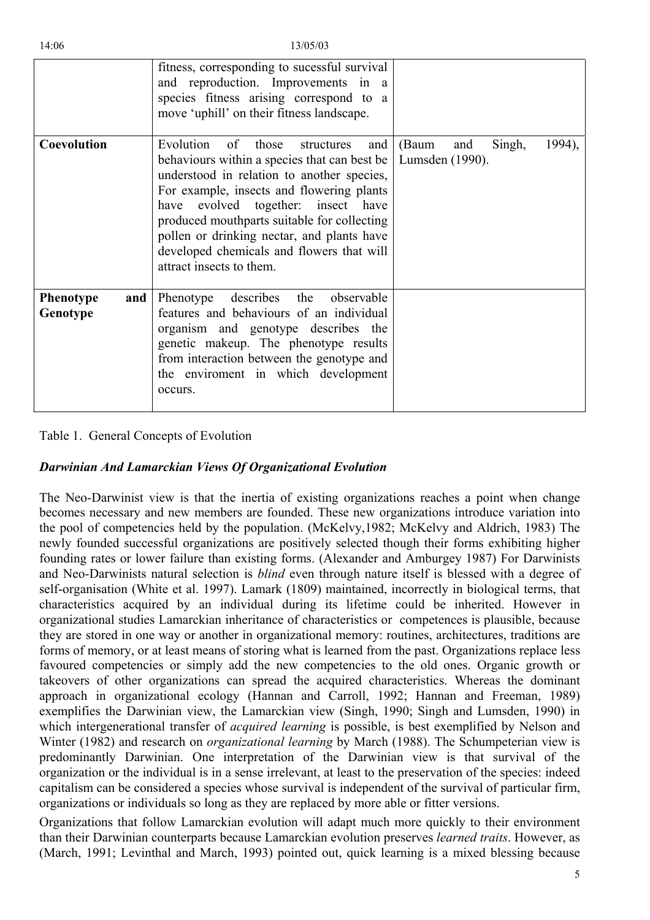|                                     | fitness, corresponding to sucessful survival<br>and reproduction. Improvements in a<br>species fitness arising correspond to a<br>move 'uphill' on their fitness landscape.                                                                                                                                                                                                                            |                                                     |
|-------------------------------------|--------------------------------------------------------------------------------------------------------------------------------------------------------------------------------------------------------------------------------------------------------------------------------------------------------------------------------------------------------------------------------------------------------|-----------------------------------------------------|
| Coevolution                         | Evolution<br>those<br>of<br>structures<br>and  <br>behaviours within a species that can best be<br>understood in relation to another species,<br>For example, insects and flowering plants<br>have evolved together: insect have<br>produced mouthparts suitable for collecting<br>pollen or drinking nectar, and plants have<br>developed chemicals and flowers that will<br>attract insects to them. | (Baum<br>1994),<br>Singh,<br>and<br>Lumsden (1990). |
| <b>Phenotype</b><br>and<br>Genotype | describes<br>the<br>observable<br>Phenotype<br>features and behaviours of an individual<br>organism and genotype describes the<br>genetic makeup. The phenotype results<br>from interaction between the genotype and<br>the enviroment in which development<br>occurs.                                                                                                                                 |                                                     |

## Table 1. General Concepts of Evolution

## *arwinian And Lamarckian Views Of Organizational Evolution D*

capitalism can be considered a species whose survival is independent of the survival of particular firm, The Neo-Darwinist view is that the inertia of existing organizations reaches a point when change becomes necessary and new members are founded. These new organizations introduce variation into the pool of competencies held by the population. (McKelvy,1982; McKelvy and Aldrich, 1983) The newly founded successful organizations are positively selected though their forms exhibiting higher founding rates or lower failure than existing forms. (Alexander and Amburgey 1987) For Darwinists and Neo-Darwinists natural selection is *blind* even through nature itself is blessed with a degree of self-organisation (White et al. 1997). Lamark (1809) maintained, incorrectly in biological terms, that characteristics acquired by an individual during its lifetime could be inherited. However in organizational studies Lamarckian inheritance of characteristics or competences is plausible, because they are stored in one way or another in organizational memory: routines, architectures, traditions are forms of memory, or at least means of storing what is learned from the past. Organizations replace less favoured competencies or simply add the new competencies to the old ones. Organic growth or takeovers of other organizations can spread the acquired characteristics. Whereas the dominant approach in organizational ecology (Hannan and Carroll, 1992; Hannan and Freeman, 1989) exemplifies the Darwinian view, the Lamarckian view (Singh, 1990; Singh and Lumsden, 1990) in which intergenerational transfer of *acquired learning* is possible, is best exemplified by Nelson and Winter (1982) and research on *organizational learning* by March (1988). The Schumpeterian view is predominantly Darwinian. One interpretation of the Darwinian view is that survival of the organization or the individual is in a sense irrelevant, at least to the preservation of the species: indeed organizations or individuals so long as they are replaced by more able or fitter versions.

Organizations that follow Lamarckian evolution will adapt much more quickly to their environment than their Darwinian counterparts because Lamarckian evolution preserves *learned traits*. However, as (March, 1991; Levinthal and March, 1993) pointed out, quick learning is a mixed blessing because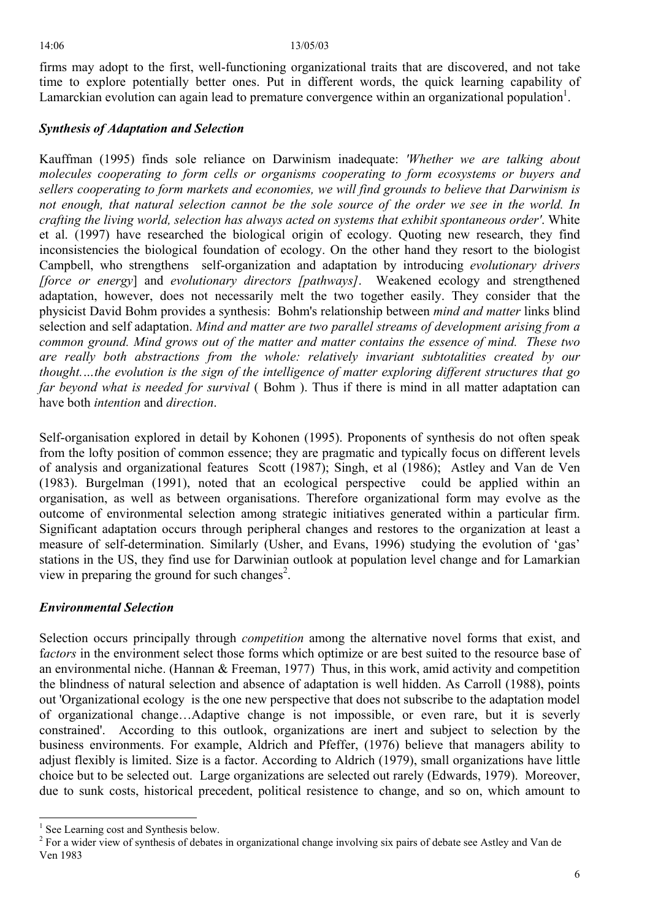firms may adopt to the first, well-functioning organizational traits that are discovered, and not take time to explore potentially better ones. Put in different words, the quick learning capability of Lamarckian evolution can again lead to premature convergence within an organizational population<sup>1</sup>.

# *ynthesis of Adaptation and Selection* *S*

*far beyond what is needed for survival* (Bohm). Thus if there is mind in all matter adaptation can have both *intention* and *direction*. Kauffman (1995) finds sole reliance on Darwinism inadequate: *'Whether we are talking about molecules cooperating to form cells or organisms cooperating to form ecosystems or buyers and sellers cooperating to form markets and economies, we will find grounds to believe that Darwinism is not enough, that natural selection cannot be the sole source of the order we see in the world. In crafting the living world, selection has always acted on systems that exhibit spontaneous order'*. White et al. (1997) have researched the biological origin of ecology. Quoting new research, they find inconsistencies the biological foundation of ecology. On the other hand they resort to the biologist Campbell, who strengthens self-organization and adaptation by introducing *evolutionary drivers [force or energy*] and *evolutionary directors [pathways]*. Weakened ecology and strengthened adaptation, however, does not necessarily melt the two together easily. They consider that the physicist David Bohm provides a synthesis: Bohm's relationship between *mind and matter* links blind selection and self adaptation. *Mind and matter are two parallel streams of development arising from a common ground. Mind grows out of the matter and matter contains the essence of mind. These two are really both abstractions from the whole: relatively invariant subtotalities created by our thought.…the evolution is the sign of the intelligence of matter exploring different structures that go* 

stations in the US, they find use for Darwinian outlook at population level change and for Lamarkian view in preparing the ground for such changes<sup>[2](#page-5-1)</sup>. Self-organisation explored in detail by Kohonen (1995). Proponents of synthesis do not often speak from the lofty position of common essence; they are pragmatic and typically focus on different levels of analysis and organizational features Scott (1987); Singh, et al (1986); Astley and Van de Ven (1983). Burgelman (1991), noted that an ecological perspective could be applied within an organisation, as well as between organisations. Therefore organizational form may evolve as the outcome of environmental selection among strategic initiatives generated within a particular firm. Significant adaptation occurs through peripheral changes and restores to the organization at least a measure of self-determination. Similarly (Usher, and Evans, 1996) studying the evolution of 'gas'

# *Environmental Selection*

Selection occurs principally through *competition* among the alternative novel forms that exist, and f*actors* in the environment select those forms which optimize or are best suited to the resource base of an environmental niche. (Hannan & Freeman, 1977) Thus, in this work, amid activity and competition the blindness of natural selection and absence of adaptation is well hidden. As Carroll (1988), points out 'Organizational ecology is the one new perspective that does not subscribe to the adaptation model of organizational change…Adaptive change is not impossible, or even rare, but it is severly constrained'. According to this outlook, organizations are inert and subject to selection by the business environments. For example, Aldrich and Pfeffer, (1976) believe that managers ability to adjust flexibly is limited. Size is a factor. According to Aldrich (1979), small organizations have little choice but to be selected out. Large organizations are selected out rarely (Edwards, 1979). Moreover, due to sunk costs, historical precedent, political resistence to change, and so on, which amount to

<span id="page-5-0"></span><sup>&</sup>lt;sup>1</sup> See Learning cost and Synthesis below.

<span id="page-5-1"></span><sup>&</sup>lt;sup>2</sup> For a wider view of synthesis of debates in organizational change involving six pairs of debate see Astley and Van de Ven 1983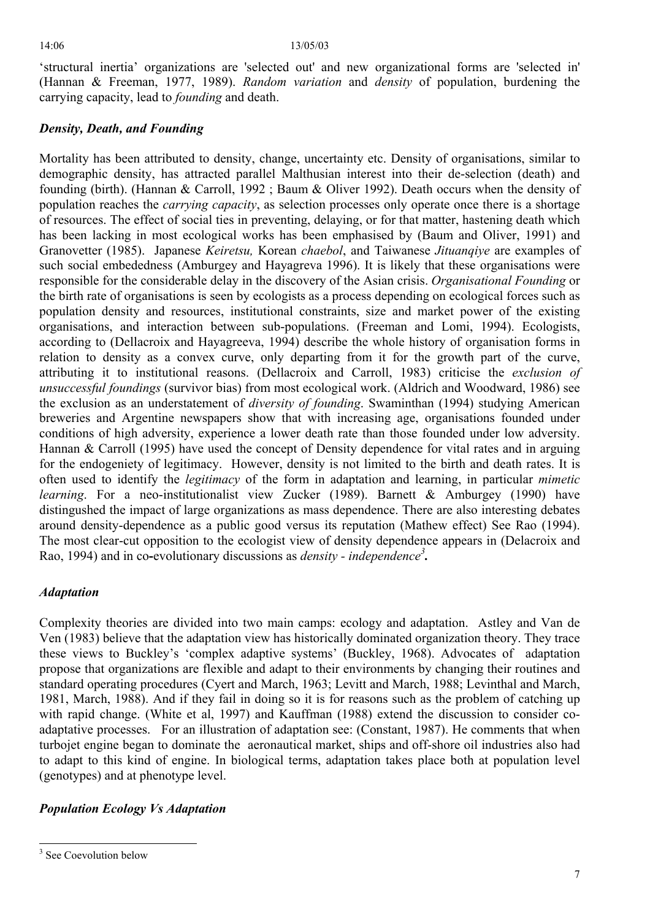'structural inertia' organizations are 'selected out' and new organizational forms are 'selected in' (Hannan & Freeman, 1977, 1989). *Random variation* and *density* of population, burdening the carrying capacity, lead to *founding* and death.

# *Density, Death, and Founding*

The most clear-cut opposition to the ecologist view of density dependence appears in (Delacroix and Rao, 1994) and in co-evolutionary discussions as *density - independence<sup>[3](#page-6-0)</sup>*. Mortality has been attributed to density, change, uncertainty etc. Density of organisations, similar to demographic density, has attracted parallel Malthusian interest into their de-selection (death) and founding (birth). (Hannan & Carroll, 1992 ; Baum & Oliver 1992). Death occurs when the density of population reaches the *carrying capacity*, as selection processes only operate once there is a shortage of resources. The effect of social ties in preventing, delaying, or for that matter, hastening death which has been lacking in most ecological works has been emphasised by (Baum and Oliver, 1991) and Granovetter (1985). Japanese *Keiretsu,* Korean *chaebol*, and Taiwanese *Jituanqiye* are examples of such social embededness (Amburgey and Hayagreva 1996). It is likely that these organisations were responsible for the considerable delay in the discovery of the Asian crisis. *Organisational Founding* or the birth rate of organisations is seen by ecologists as a process depending on ecological forces such as population density and resources, institutional constraints, size and market power of the existing organisations, and interaction between sub-populations. (Freeman and Lomi, 1994). Ecologists, according to (Dellacroix and Hayagreeva, 1994) describe the whole history of organisation forms in relation to density as a convex curve, only departing from it for the growth part of the curve, attributing it to institutional reasons. (Dellacroix and Carroll, 1983) criticise the *exclusion of unsuccessful foundings* (survivor bias) from most ecological work. (Aldrich and Woodward, 1986) see the exclusion as an understatement of *diversity of founding*. Swaminthan (1994) studying American breweries and Argentine newspapers show that with increasing age, organisations founded under conditions of high adversity, experience a lower death rate than those founded under low adversity. Hannan & Carroll (1995) have used the concept of Density dependence for vital rates and in arguing for the endogeniety of legitimacy. However, density is not limited to the birth and death rates. It is often used to identify the *legitimacy* of the form in adaptation and learning, in particular *mimetic learning*. For a neo-institutionalist view Zucker (1989). Barnett & Amburgey (1990) have distingushed the impact of large organizations as mass dependence. There are also interesting debates around density-dependence as a public good versus its reputation (Mathew effect) See Rao (1994).

# *Adaptation*

to adapt to this kind of engine. In biological terms, adaptation takes place both at population level Complexity theories are divided into two main camps: ecology and adaptation. Astley and Van de Ven (1983) believe that the adaptation view has historically dominated organization theory. They trace these views to Buckley's 'complex adaptive systems' (Buckley, 1968). Advocates of adaptation propose that organizations are flexible and adapt to their environments by changing their routines and standard operating procedures (Cyert and March, 1963; Levitt and March, 1988; Levinthal and March, 1981, March, 1988). And if they fail in doing so it is for reasons such as the problem of catching up with rapid change. (White et al, 1997) and Kauffman (1988) extend the discussion to consider coadaptative processes. For an illustration of adaptation see: (Constant, 1987). He comments that when turbojet engine began to dominate the aeronautical market, ships and off-shore oil industries also had (genotypes) and at phenotype level.

# **Population Ecology Vs Adaptation**

<span id="page-6-0"></span><sup>&</sup>lt;sup>3</sup> See Coevolution below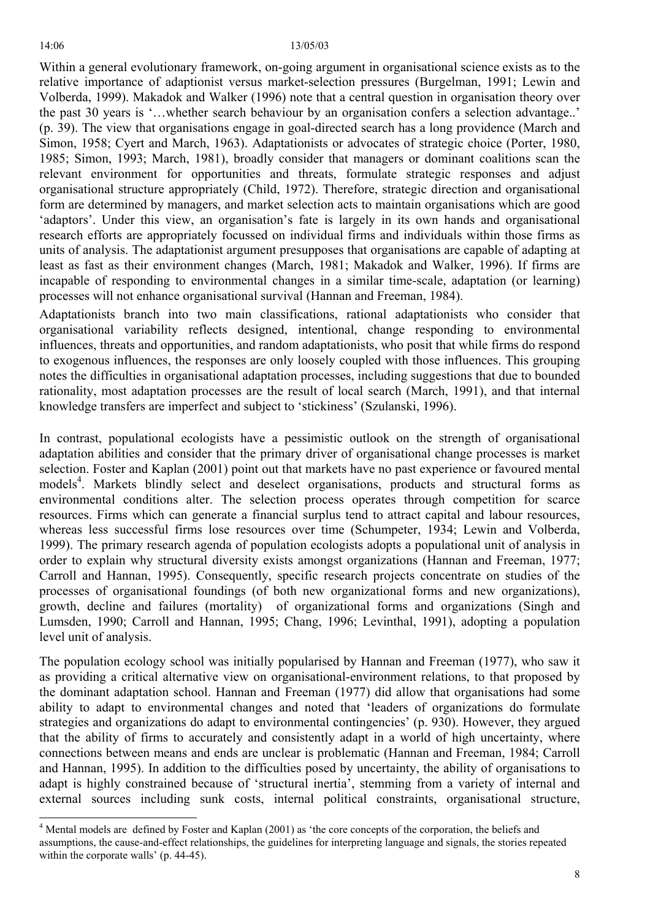Within a general evolutionary framework, on-going argument in organisational science exists as to the relative importance of adaptionist versus market-selection pressures (Burgelman, 1991; Lewin and Volberda, 1999). Makadok and Walker (1996) note that a central question in organisation theory over the past 30 years is '…whether search behaviour by an organisation confers a selection advantage..' (p. 39). The view that organisations engage in goal-directed search has a long providence (March and Simon, 1958; Cyert and March, 1963). Adaptationists or advocates of strategic choice (Porter, 1980, 1985; Simon, 1993; March, 1981), broadly consider that managers or dominant coalitions scan the relevant environment for opportunities and threats, formulate strategic responses and adjust organisational structure appropriately (Child, 1972). Therefore, strategic direction and organisational form are determined by managers, and market selection acts to maintain organisations which are good 'adaptors'. Under this view, an organisation's fate is largely in its own hands and organisational research efforts are appropriately focussed on individual firms and individuals within those firms as units of analysis. The adaptationist argument presupposes that organisations are capable of adapting at least as fast as their environment changes (March, 1981; Makadok and Walker, 1996). If firms are incapable of responding to environmental changes in a similar time-scale, adaptation (or learning) processes will not enhance organisational survival (Hannan and Freeman, 1984).

Adaptationists branch into two main classifications, rational adaptationists who consider that organisational variability reflects designed, intentional, change responding to environmental influences, threats and opportunities, and random adaptationists, who posit that while firms do respond to exogenous influences, the responses are only loosely coupled with those influences. This grouping notes the difficulties in organisational adaptation processes, including suggestions that due to bounded rationality, most adaptation processes are the result of local search (March, 1991), and that internal knowledge transfers are imperfect and subject to 'stickiness' (Szulanski, 1996).

In contrast, populational ecologists have a pessimistic outlook on the strength of organisational adaptation abilities and consider that the primary driver of organisational change processes is market selecti[on](#page-7-0). Foster and Kaplan (2001) point out that markets have no past experience or favoured mental models<sup>4</sup>. Markets blindly select and deselect organisations, products and structural forms as environmental conditions alter. The selection process operates through competition for scarce resources. Firms which can generate a financial surplus tend to attract capital and labour resources, whereas less successful firms lose resources over time (Schumpeter, 1934; Lewin and Volberda, 1999). The primary research agenda of population ecologists adopts a populational unit of analysis in order to explain why structural diversity exists amongst organizations (Hannan and Freeman, 1977; Carroll and Hannan, 1995). Consequently, specific research projects concentrate on studies of the processes of organisational foundings (of both new organizational forms and new organizations), growth, decline and failures (mortality) of organizational forms and organizations (Singh and Lumsden, 1990; Carroll and Hannan, 1995; Chang, 1996; Levinthal, 1991), adopting a population level unit of analysis.

The population ecology school was initially popularised by Hannan and Freeman (1977), who saw it as providing a critical alternative view on organisational-environment relations, to that proposed by the dominant adaptation school. Hannan and Freeman (1977) did allow that organisations had some ability to adapt to environmental changes and noted that 'leaders of organizations do formulate strategies and organizations do adapt to environmental contingencies' (p. 930). However, they argued that the ability of firms to accurately and consistently adapt in a world of high uncertainty, where connections between means and ends are unclear is problematic (Hannan and Freeman, 1984; Carroll and Hannan, 1995). In addition to the difficulties posed by uncertainty, the ability of organisations to adapt is highly constrained because of 'structural inertia', stemming from a variety of internal and external sources including sunk costs, internal political constraints, organisational structure,

<span id="page-7-0"></span><sup>&</sup>lt;sup>4</sup> Mental models are defined by Foster and Kaplan (2001) as 'the core concepts of the corporation, the beliefs and assumptions, the cause-and-effect relationships, the guidelines for interpreting language and signals, the stories repeated within the corporate walls' (p. 44-45).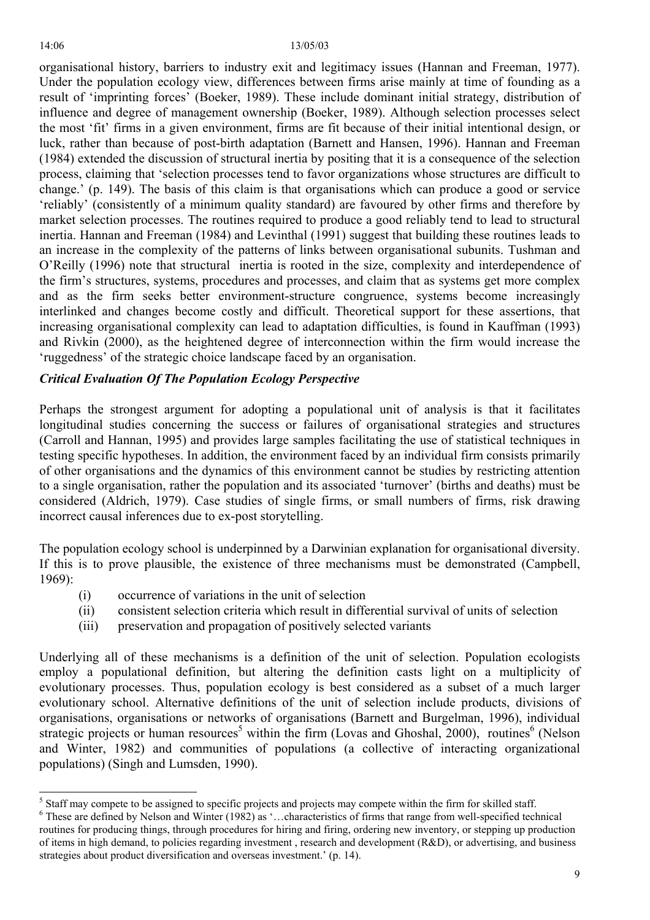organisational history, barriers to industry exit and legitimacy issues (Hannan and Freeman, 1977). Under the population ecology view, differences between firms arise mainly at time of founding as a result of 'imprinting forces' (Boeker, 1989). These include dominant initial strategy, distribution of influence and degree of management ownership (Boeker, 1989). Although selection processes select the most 'fit' firms in a given environment, firms are fit because of their initial intentional design, or luck, rather than because of post-birth adaptation (Barnett and Hansen, 1996). Hannan and Freeman (1984) extended the discussion of structural inertia by positing that it is a consequence of the selection process, claiming that 'selection processes tend to favor organizations whose structures are difficult to change.' (p. 149). The basis of this claim is that organisations which can produce a good or service 'reliably' (consistently of a minimum quality standard) are favoured by other firms and therefore by market selection processes. The routines required to produce a good reliably tend to lead to structural inertia. Hannan and Freeman (1984) and Levinthal (1991) suggest that building these routines leads to an increase in the complexity of the patterns of links between organisational subunits. Tushman and O'Reilly (1996) note that structural inertia is rooted in the size, complexity and interdependence of the firm's structures, systems, procedures and processes, and claim that as systems get more complex and as the firm seeks better environment-structure congruence, systems become increasingly interlinked and changes become costly and difficult. Theoretical support for these assertions, that increasing organisational complexity can lead to adaptation difficulties, is found in Kauffman (1993) and Rivkin (2000), as the heightened degree of interconnection within the firm would increase the 'ruggedness' of the strategic choice landscape faced by an organisation.

# *Critical Evaluation Of The Population Ecology Perspective*

Perhaps the strongest argument for adopting a populational unit of analysis is that it facilitates longitudinal studies concerning the success or failures of organisational strategies and structures (Carroll and Hannan, 1995) and provides large samples facilitating the use of statistical techniques in testing specific hypotheses. In addition, the environment faced by an individual firm consists primarily of other organisations and the dynamics of this environment cannot be studies by restricting attention to a single organisation, rather the population and its associated 'turnover' (births and deaths) must be considered (Aldrich, 1979). Case studies of single firms, or small numbers of firms, risk drawing incorrect causal inferences due to ex-post storytelling.

The population ecology school is underpinned by a Darwinian explanation for organisational diversity. If this is to prove plausible, the existence of three mechanisms must be demonstrated (Campbell, 1969):

- (i) occurrence of variations in the unit of selection
- (ii) consistent selection criteria which result in differential survival of units of selection
- (iii) preservation and propagation of positively selected variants

Underlying all of these mechanisms is a definition of the unit of selection. Population ecologists employ a populational definition, but altering the definition casts light on a multiplicity of evolutionary processes. Thus, population ecology is best considered as a subset of a much larger evolutionary school. Alternative definitions of the unit of selection include products, divisions of organisations, organisations or networks of organisations (Barnett and Burgelman, 1996), individual strategic projects or human resources<sup>5</sup> within the firm (Lovas and Ghoshal, 2000), routines<sup>[6](#page-8-1)</sup> (Nelson and Winter, 1982) and communities of populations (a collective of interacting organizational populations) (Singh and Lumsden, 1990).

<span id="page-8-0"></span><sup>&</sup>lt;sup>5</sup> Staff may compete to be assigned to specific projects and projects may compete within the firm for skilled staff.<br><sup>6</sup> These are defined by Nalson and Winter (1982) as 's abaracteristics of firms that range from well a

<span id="page-8-1"></span> $6$  These are defined by Nelson and Winter (1982) as '...characteristics of firms that range from well-specified technical routines for producing things, through procedures for hiring and firing, ordering new inventory, or stepping up production of items in high demand, to policies regarding investment , research and development (R&D), or advertising, and business strategies about product diversification and overseas investment.' (p. 14).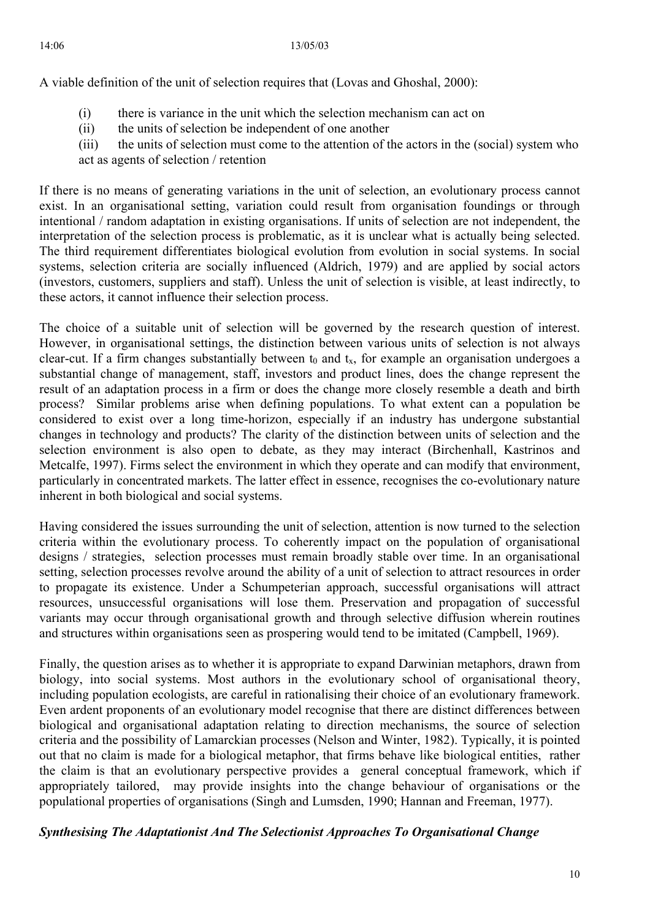A viable definition of the unit of selection requires that (Lovas and Ghoshal, 2000):

- $(i)$  there is variance in the unit which the selection mechanism can act on
- (ii) the units of selection be independent of one another
- (iii) the units of selection must come to the attention of the actors in the (social) system who act as agents of selection / retention

(investors, customers, suppliers and staff). Unless the unit of selection is visible, at least indirectly, to these actors, it cannot influence their selection process. If there is no means of generating variations in the unit of selection, an evolutionary process cannot exist. In an organisational setting, variation could result from organisation foundings or through intentional / random adaptation in existing organisations. If units of selection are not independent, the interpretation of the selection process is problematic, as it is unclear what is actually being selected. The third requirement differentiates biological evolution from evolution in social systems. In social systems, selection criteria are socially influenced (Aldrich, 1979) and are applied by social actors

particularly in concentrated markets. The latter effect in essence, recognises the co-evolutionary nature inherent in both biological and social systems. The choice of a suitable unit of selection will be governed by the research question of interest. However, in organisational settings, the distinction between various units of selection is not always clear-cut. If a firm changes substantially between  $t_0$  and  $t_x$ , for example an organisation undergoes a substantial change of management, staff, investors and product lines, does the change represent the result of an adaptation process in a firm or does the change more closely resemble a death and birth process? Similar problems arise when defining populations. To what extent can a population be considered to exist over a long time-horizon, especially if an industry has undergone substantial changes in technology and products? The clarity of the distinction between units of selection and the selection environment is also open to debate, as they may interact (Birchenhall, Kastrinos and Metcalfe, 1997). Firms select the environment in which they operate and can modify that environment,

variants may occur through organisational growth and through selective diffusion wherein routines and structures within organisations seen as prospering would tend to be imitated (Campbell, 1969). Having considered the issues surrounding the unit of selection, attention is now turned to the selection criteria within the evolutionary process. To coherently impact on the population of organisational designs / strategies, selection processes must remain broadly stable over time. In an organisational setting, selection processes revolve around the ability of a unit of selection to attract resources in order to propagate its existence. Under a Schumpeterian approach, successful organisations will attract resources, unsuccessful organisations will lose them. Preservation and propagation of successful

appropriately tailored, may provide insights into the change behaviour of organisations or the populational properties of organisations (Singh and Lumsden, 1990; Hannan and Freeman, 1977). Finally, the question arises as to whether it is appropriate to expand Darwinian metaphors, drawn from biology, into social systems. Most authors in the evolutionary school of organisational theory, including population ecologists, are careful in rationalising their choice of an evolutionary framework. Even ardent proponents of an evolutionary model recognise that there are distinct differences between biological and organisational adaptation relating to direction mechanisms, the source of selection criteria and the possibility of Lamarckian processes (Nelson and Winter, 1982). Typically, it is pointed out that no claim is made for a biological metaphor, that firms behave like biological entities, rather the claim is that an evolutionary perspective provides a general conceptual framework, which if

# *ynthesising The Adaptationist And The Selectionist Approaches To Organisational Change S*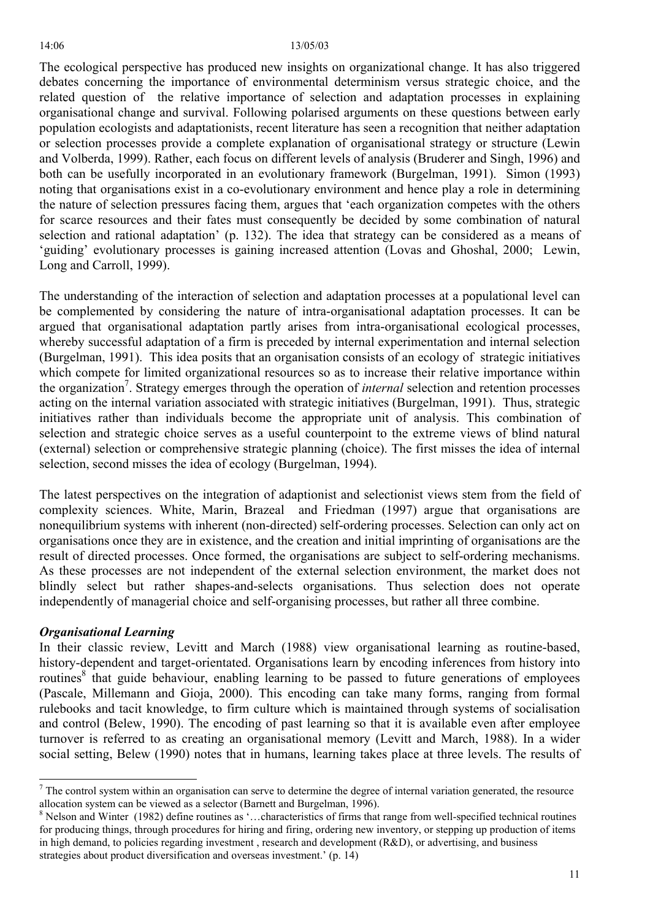The ecological perspective has produced new insights on organizational change. It has also triggered debates concerning the importance of environmental determinism versus strategic choice, and the related question of the relative importance of selection and adaptation processes in explaining organisational change and survival. Following polarised arguments on these questions between early population ecologists and adaptationists, recent literature has seen a recognition that neither adaptation or selection processes provide a complete explanation of organisational strategy or structure (Lewin and Volberda, 1999). Rather, each focus on different levels of analysis (Bruderer and Singh, 1996) and both can be usefully incorporated in an evolutionary framework (Burgelman, 1991). Simon (1993) noting that organisations exist in a co-evolutionary environment and hence play a role in determining the nature of selection pressures facing them, argues that 'each organization competes with the others for scarce resources and their fates must consequently be decided by some combination of natural selection and rational adaptation' (p. 132). The idea that strategy can be considered as a means of 'guiding' evolutionary processes is gaining increased attention (Lovas and Ghoshal, 2000; Lewin, Long and Carroll, 1999).

The understanding of the interaction of selection and adaptation processes at a populational level can be complemented by considering the nature of intra-organisational adaptation processes. It can be argued that organisational adaptation partly arises from intra-organisational ecological processes, whereby successful adaptation of a firm is preceded by internal experimentation and internal selection (Burgelman, 1991). This idea posits that an organisation consists of an ecology of strategic initiatives which compete for limited organizational resources so as to increase their relative importance within the organization<sup>7</sup>. Strategy emerges through the operation of *internal* selection and retention processes acting on the internal variation associated with strategic initiatives (Burgelman, 1991). Thus, strategic initiatives rather than individuals become the appropriate unit of analysis. This combination of selection and strategic choice serves as a useful counterpoint to the extreme views of blind natural (external) selection or comprehensive strategic planning (choice). The first misses the idea of internal selection, second misses the idea of ecology (Burgelman, 1994).

The latest perspectives on the integration of adaptionist and selectionist views stem from the field of complexity sciences. White, Marin, Brazeal and Friedman (1997) argue that organisations are nonequilibrium systems with inherent (non-directed) self-ordering processes. Selection can only act on organisations once they are in existence, and the creation and initial imprinting of organisations are the result of directed processes. Once formed, the organisations are subject to self-ordering mechanisms. As these processes are not independent of the external selection environment, the market does not blindly select but rather shapes-and-selects organisations. Thus selection does not operate independently of managerial choice and self-organising processes, but rather all three combine.

### *Organisational Learning*

 $\overline{a}$ 

In their classic review, Levitt and March (1988) view organisational learning as routine-based, history-dependent and target-orientated. Organisations learn by encoding inferences from history into routines<sup>[8](#page-10-1)</sup> that guide behaviour, enabling learning to be passed to future generations of employees (Pascale, Millemann and Gioja, 2000). This encoding can take many forms, ranging from formal rulebooks and tacit knowledge, to firm culture which is maintained through systems of socialisation and control (Belew, 1990). The encoding of past learning so that it is available even after employee turnover is referred to as creating an organisational memory (Levitt and March, 1988). In a wider social setting, Belew (1990) notes that in humans, learning takes place at three levels. The results of

<span id="page-10-0"></span> $<sup>7</sup>$  The control system within an organisation can serve to determine the degree of internal variation generated, the resource</sup> allocation system can be viewed as a selector (Barnett and Burgelman, 1996).

<span id="page-10-1"></span><sup>&</sup>lt;sup>8</sup> Nelson and Winter (1982) define routines as '...characteristics of firms that range from well-specified technical routines for producing things, through procedures for hiring and firing, ordering new inventory, or stepping up production of items in high demand, to policies regarding investment , research and development (R&D), or advertising, and business strategies about product diversification and overseas investment.' (p. 14)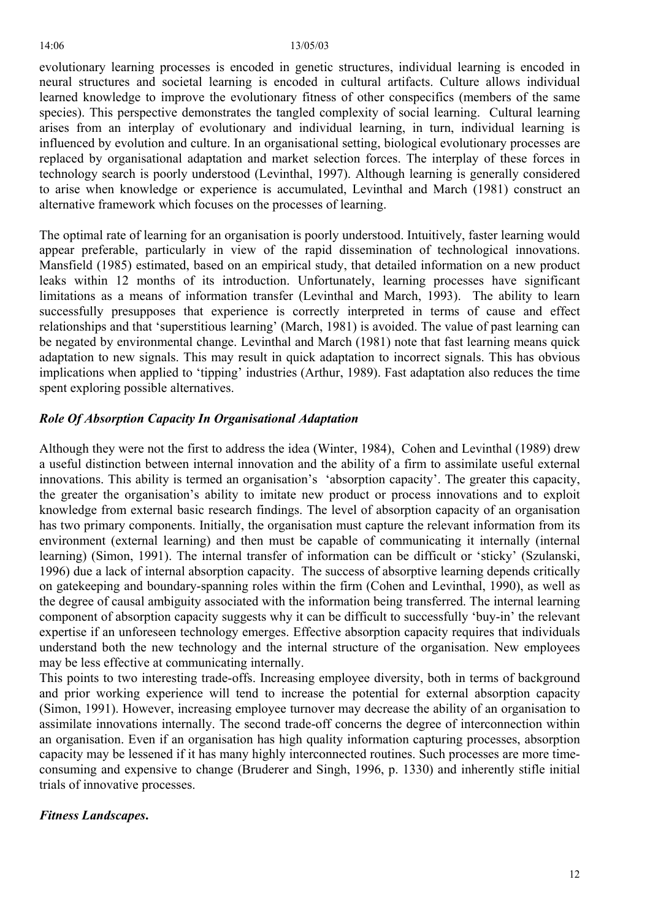evolutionary learning processes is encoded in genetic structures, individual learning is encoded in neural structures and societal learning is encoded in cultural artifacts. Culture allows individual learned knowledge to improve the evolutionary fitness of other conspecifics (members of the same species). This perspective demonstrates the tangled complexity of social learning. Cultural learning arises from an interplay of evolutionary and individual learning, in turn, individual learning is influenced by evolution and culture. In an organisational setting, biological evolutionary processes are replaced by organisational adaptation and market selection forces. The interplay of these forces in technology search is poorly understood (Levinthal, 1997). Although learning is generally considered to arise when knowledge or experience is accumulated, Levinthal and March (1981) construct an alternative framework which focuses on the processes of learning.

The optimal rate of learning for an organisation is poorly understood. Intuitively, faster learning would appear preferable, particularly in view of the rapid dissemination of technological innovations. Mansfield (1985) estimated, based on an empirical study, that detailed information on a new product leaks within 12 months of its introduction. Unfortunately, learning processes have significant limitations as a means of information transfer (Levinthal and March, 1993). The ability to learn successfully presupposes that experience is correctly interpreted in terms of cause and effect relationships and that 'superstitious learning' (March, 1981) is avoided. The value of past learning can be negated by environmental change. Levinthal and March (1981) note that fast learning means quick adaptation to new signals. This may result in quick adaptation to incorrect signals. This has obvious implications when applied to 'tipping' industries (Arthur, 1989). Fast adaptation also reduces the time spent exploring possible alternatives.

# *Role Of Absorption Capacity In Organisational Adaptation*

Although they were not the first to address the idea (Winter, 1984), Cohen and Levinthal (1989) drew a useful distinction between internal innovation and the ability of a firm to assimilate useful external innovations. This ability is termed an organisation's 'absorption capacity'. The greater this capacity, the greater the organisation's ability to imitate new product or process innovations and to exploit knowledge from external basic research findings. The level of absorption capacity of an organisation has two primary components. Initially, the organisation must capture the relevant information from its environment (external learning) and then must be capable of communicating it internally (internal learning) (Simon, 1991). The internal transfer of information can be difficult or 'sticky' (Szulanski, 1996) due a lack of internal absorption capacity. The success of absorptive learning depends critically on gatekeeping and boundary-spanning roles within the firm (Cohen and Levinthal, 1990), as well as the degree of causal ambiguity associated with the information being transferred. The internal learning component of absorption capacity suggests why it can be difficult to successfully 'buy-in' the relevant expertise if an unforeseen technology emerges. Effective absorption capacity requires that individuals understand both the new technology and the internal structure of the organisation. New employees may be less effective at communicating internally.

This points to two interesting trade-offs. Increasing employee diversity, both in terms of background and prior working experience will tend to increase the potential for external absorption capacity (Simon, 1991). However, increasing employee turnover may decrease the ability of an organisation to assimilate innovations internally. The second trade-off concerns the degree of interconnection within an organisation. Even if an organisation has high quality information capturing processes, absorption capacity may be lessened if it has many highly interconnected routines. Such processes are more timeconsuming and expensive to change (Bruderer and Singh, 1996, p. 1330) and inherently stifle initial trials of innovative processes.

# *Fitness Landscapes***.**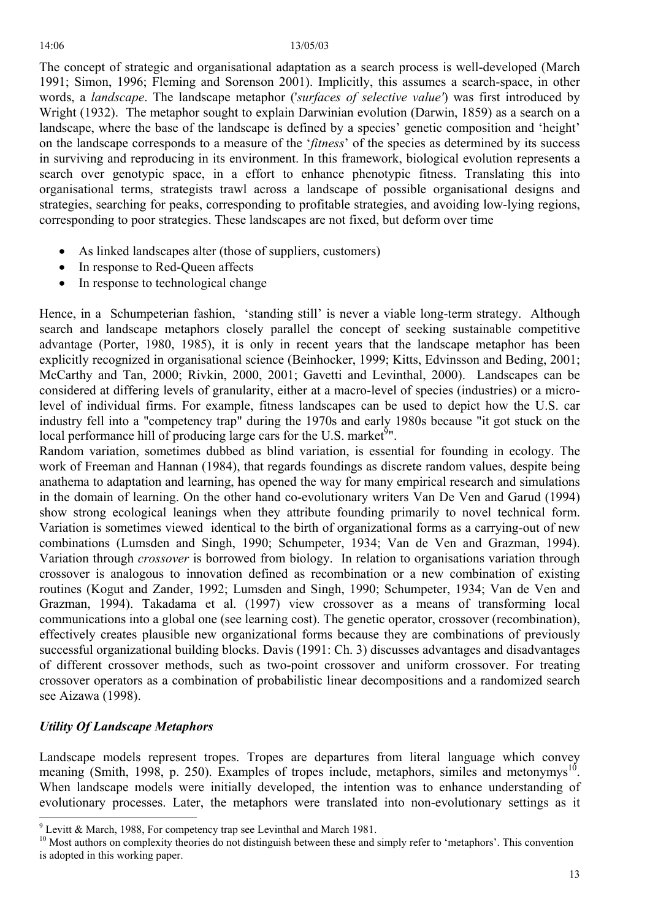The concept of strategic and organisational adaptation as a search process is well-developed (March 1991; Simon, 1996; Fleming and Sorenson 2001). Implicitly, this assumes a search-space, in other words, a *landscape*. The landscape metaphor ('*surfaces of selective value'*) was first introduced by Wright (1932). The metaphor sought to explain Darwinian evolution (Darwin, 1859) as a search on a landscape, where the base of the landscape is defined by a species' genetic composition and 'height' on the landscape corresponds to a measure of the '*fitness*' of the species as determined by its success in surviving and reproducing in its environment. In this framework, biological evolution represents a search over genotypic space, in a effort to enhance phenotypic fitness. Translating this into organisational terms, strategists trawl across a landscape of possible organisational designs and strategies, searching for peaks, corresponding to profitable strategies, and avoiding low-lying regions, corresponding to poor strategies. These landscapes are not fixed, but deform over time

- As linked landscapes alter (those of suppliers, customers)
- In response to Red-Queen affects
- In response to technological change

Hence, in a Schumpeterian fashion, 'standing still' is never a viable long-term strategy. Although search and landscape metaphors closely parallel the concept of seeking sustainable competitive advantage (Porter, 1980, 1985), it is only in recent years that the landscape metaphor has been explicitly recognized in organisational science (Beinhocker, 1999; Kitts, Edvinsson and Beding, 2001; McCarthy and Tan, 2000; Rivkin, 2000, 2001; Gavetti and Levinthal, 2000). Landscapes can be considered at differing levels of granularity, either at a macro-level of species (industries) or a microlevel of individual firms. For example, fitness landscapes can be used to depict how the U.S. car industry fell into a "competency trap" during the 1970s and early 1980s because "it got stuck on the local performance hill of producing large cars for the U.S. market<sup>[9](#page-12-0)</sup>".

Random variation, sometimes dubbed as blind variation, is essential for founding in ecology. The work of Freeman and Hannan (1984), that regards foundings as discrete random values, despite being anathema to adaptation and learning, has opened the way for many empirical research and simulations in the domain of learning. On the other hand co-evolutionary writers Van De Ven and Garud (1994) show strong ecological leanings when they attribute founding primarily to novel technical form. Variation is sometimes viewed identical to the birth of organizational forms as a carrying-out of new combinations (Lumsden and Singh, 1990; Schumpeter, 1934; Van de Ven and Grazman, 1994). Variation through *crossover* is borrowed from biology. In relation to organisations variation through crossover is analogous to innovation defined as recombination or a new combination of existing routines (Kogut and Zander, 1992; Lumsden and Singh, 1990; Schumpeter, 1934; Van de Ven and Grazman, 1994). Takadama et al. (1997) view crossover as a means of transforming local communications into a global one (see learning cost). The genetic operator, crossover (recombination), effectively creates plausible new organizational forms because they are combinations of previously successful organizational building blocks. Davis (1991: Ch. 3) discusses advantages and disadvantages of different crossover methods, such as two-point crossover and uniform crossover. For treating crossover operators as a combination of probabilistic linear decompositions and a randomized search see Aizawa (1998).

# *Utility Of Landscape Metaphors*

 $\overline{a}$ 

Landscape models represent tropes. Tropes are departures from literal language which convey meaning (Smith, 1998, p. 250). Examples of tropes include, metaphors, similes and metonymys<sup>10</sup>. When landscape models were initially developed, the intention was to enhance understanding of evolutionary processes. Later, the metaphors were translated into non-evolutionary settings as it

<span id="page-12-0"></span> $9$  Levitt & March, 1988, For competency trap see Levinthal and March 1981.

<span id="page-12-1"></span><sup>&</sup>lt;sup>10</sup> Most authors on complexity theories do not distinguish between these and simply refer to 'metaphors'. This convention is adopted in this working paper.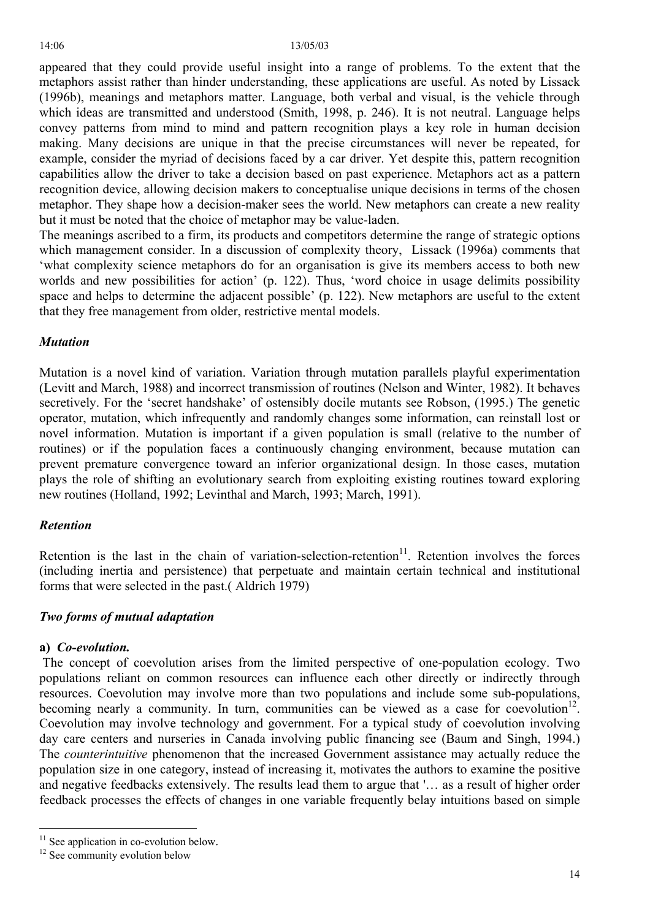appeared that they could provide useful insight into a range of problems. To the extent that the metaphors assist rather than hinder understanding, these applications are useful. As noted by Lissack (1996b), meanings and metaphors matter. Language, both verbal and visual, is the vehicle through which ideas are transmitted and understood (Smith, 1998, p. 246). It is not neutral. Language helps convey patterns from mind to mind and pattern recognition plays a key role in human decision making. Many decisions are unique in that the precise circumstances will never be repeated, for example, consider the myriad of decisions faced by a car driver. Yet despite this, pattern recognition capabilities allow the driver to take a decision based on past experience. Metaphors act as a pattern recognition device, allowing decision makers to conceptualise unique decisions in terms of the chosen metaphor. They shape how a decision-maker sees the world. New metaphors can create a new reality but it must be noted that the choice of metaphor may be value-laden.

The meanings ascribed to a firm, its products and competitors determine the range of strategic options which management consider. In a discussion of complexity theory, Lissack (1996a) comments that 'what complexity science metaphors do for an organisation is give its members access to both new worlds and new possibilities for action' (p. 122). Thus, 'word choice in usage delimits possibility space and helps to determine the adjacent possible' (p. 122). New metaphors are useful to the extent that they free management from older, restrictive mental models.

## *Mutation*

Mutation is a novel kind of variation. Variation through mutation parallels playful experimentation (Levitt and March, 1988) and incorrect transmission of routines (Nelson and Winter, 1982). It behaves secretively. For the 'secret handshake' of ostensibly docile mutants see Robson, (1995.) The genetic operator, mutation, which infrequently and randomly changes some information, can reinstall lost or novel information. Mutation is important if a given population is small (relative to the number of routines) or if the population faces a continuously changing environment, because mutation can prevent premature convergence toward an inferior organizational design. In those cases, mutation plays the role of shifting an evolutionary search from exploiting existing routines toward exploring new routines (Holland, 1992; Levinthal and March, 1993; March, 1991).

### *Retention*

Retention is the last in the chain of variation-selection-retention<sup>11</sup>. Retention involves the forces (including inertia and persistence) that perpetuate and maintain certain technical and institutional forms that were selected in the past.( Aldrich 1979)

### *Two forms of mutual adaptation*

### **a)** *Co-evolution.*

 $\overline{a}$ 

The concept of coevolution arises from the limited perspective of one-population ecology. Two populations reliant on common resources can influence each other directly or indirectly through resources. Coevolution may involve more than two populations and include some sub-populations, becoming nearly a community. In turn, communities can be viewed as a case for coevolution<sup>12</sup>. Coevolution may involve technology and government. For a typical study of coevolution involving day care centers and nurseries in Canada involving public financing see (Baum and Singh, 1994.) The *counterintuitive* phenomenon that the increased Government assistance may actually reduce the population size in one category, instead of increasing it, motivates the authors to examine the positive and negative feedbacks extensively. The results lead them to argue that '… as a result of higher order feedback processes the effects of changes in one variable frequently belay intuitions based on simple

<span id="page-13-0"></span> $11$  See application in co-evolution below.

<span id="page-13-1"></span> $12$  See community evolution below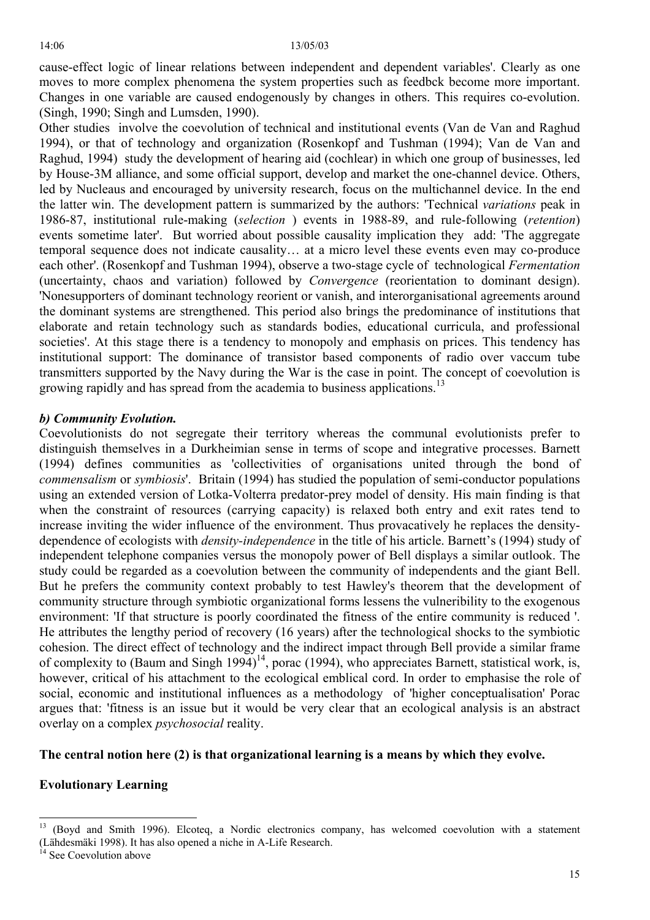cause-effect logic of linear relations between independent and dependent variables'. Clearly as one moves to more complex phenomena the system properties such as feedbck become more important. Changes in one variable are caused endogenously by changes in others. This requires co-evolution. (Singh, 1990; Singh and Lumsden, 1990).

Other studies involve the coevolution of technical and institutional events (Van de Van and Raghud 1994), or that of technology and organization (Rosenkopf and Tushman (1994); Van de Van and Raghud, 1994) study the development of hearing aid (cochlear) in which one group of businesses, led by House-3M alliance, and some official support, develop and market the one-channel device. Others, led by Nucleaus and encouraged by university research, focus on the multichannel device. In the end the latter win. The development pattern is summarized by the authors: 'Technical *variations* peak in 1986-87, institutional rule-making (*selection* ) events in 1988-89, and rule-following (*retention*) events sometime later'. But worried about possible causality implication they add: 'The aggregate temporal sequence does not indicate causality… at a micro level these events even may co-produce each other'. (Rosenkopf and Tushman 1994), observe a two-stage cycle of technological *Fermentation*  (uncertainty, chaos and variation) followed by *Convergence* (reorientation to dominant design). 'Nonesupporters of dominant technology reorient or vanish, and interorganisational agreements around the dominant systems are strengthened. This period also brings the predominance of institutions that elaborate and retain technology such as standards bodies, educational curricula, and professional societies'. At this stage there is a tendency to monopoly and emphasis on prices. This tendency has institutional support: The dominance of transistor based components of radio over vaccum tube transmitters supported by the Navy during the War is the case in point. The concept of coevolution is growing rapidly and has spread from the academia to business applications.<sup>[13](#page-14-0)</sup>

## *b) Community Evolution.*

Coevolutionists do not segregate their territory whereas the communal evolutionists prefer to distinguish themselves in a Durkheimian sense in terms of scope and integrative processes. Barnett (1994) defines communities as 'collectivities of organisations united through the bond of *commensalism* or *symbiosis*'. Britain (1994) has studied the population of semi-conductor populations using an extended version of Lotka-Volterra predator-prey model of density. His main finding is that when the constraint of resources (carrying capacity) is relaxed both entry and exit rates tend to increase inviting the wider influence of the environment. Thus provacatively he replaces the densitydependence of ecologists with *density-independence* in the title of his article. Barnett's (1994) study of independent telephone companies versus the monopoly power of Bell displays a similar outlook. The study could be regarded as a coevolution between the community of independents and the giant Bell. But he prefers the community context probably to test Hawley's theorem that the development of community structure through symbiotic organizational forms lessens the vulneribility to the exogenous environment: 'If that structure is poorly coordinated the fitness of the entire community is reduced '. He attributes the lengthy period of recovery (16 years) after the technological shocks to the symbiotic cohesion. The direct effect of technology and the indirect impact through Bell provide a similar frame of complexity to (Baum and Singh 1994)<sup>14</sup>, porac (1994), who appreciates Barnett, statistical work, is, however, critical of his attachment to the ecological emblical cord. In order to emphasise the role of social, economic and institutional influences as a methodology of 'higher conceptualisation' Porac argues that: 'fitness is an issue but it would be very clear that an ecological analysis is an abstract overlay on a complex *psychosocial* reality.

### **The central notion here (2) is that organizational learning is a means by which they evolve.**

# **Evolutionary Learning**

(Lähdesmäki 1998). It has also opened a niche in A-Life Research. 14 See Coevolution above

<span id="page-14-0"></span><sup>13 (</sup>Boyd and Smith 1996). Elcoteq, a Nordic electronics company, has welcomed coevolution with a statement

<span id="page-14-1"></span>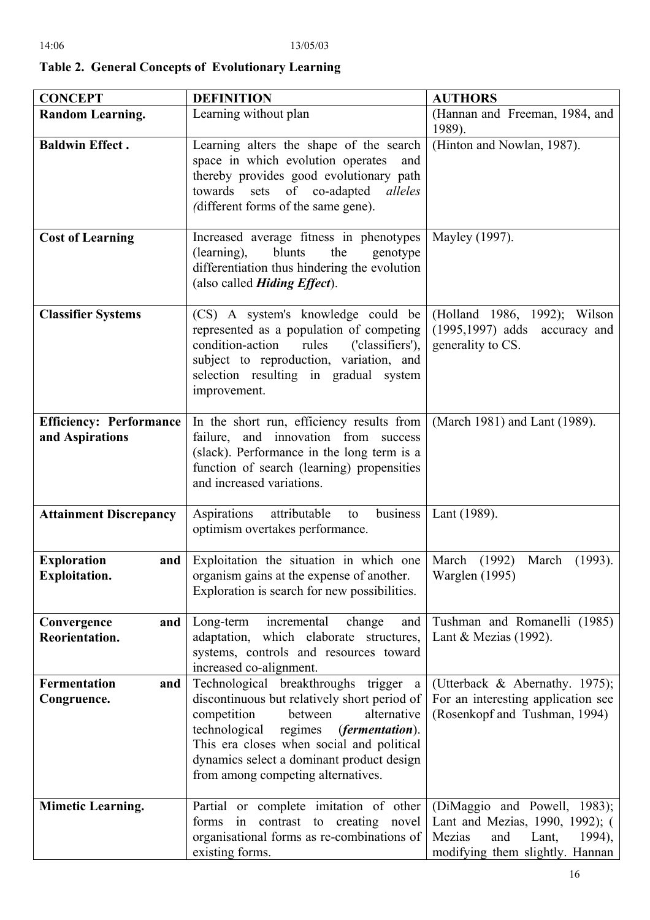| ı. |  |
|----|--|
|    |  |
|    |  |

| <b>CONCEPT</b>                                    | <b>DEFINITION</b>                                                                                                                                                                                                                                                                                                               | <b>AUTHORS</b>                                                                                                                         |
|---------------------------------------------------|---------------------------------------------------------------------------------------------------------------------------------------------------------------------------------------------------------------------------------------------------------------------------------------------------------------------------------|----------------------------------------------------------------------------------------------------------------------------------------|
| <b>Random Learning.</b>                           | Learning without plan                                                                                                                                                                                                                                                                                                           | (Hannan and Freeman, 1984, and<br>1989).                                                                                               |
| <b>Baldwin Effect.</b>                            | Learning alters the shape of the search<br>space in which evolution operates<br>and<br>thereby provides good evolutionary path<br>towards sets of co-adapted<br>alleles<br>(different forms of the same gene).                                                                                                                  | (Hinton and Nowlan, 1987).                                                                                                             |
| <b>Cost of Learning</b>                           | Increased average fitness in phenotypes<br>(learning),<br>blunts<br>the<br>genotype<br>differentiation thus hindering the evolution<br>(also called <i>Hiding Effect</i> ).                                                                                                                                                     | Mayley (1997).                                                                                                                         |
| <b>Classifier Systems</b>                         | (CS) A system's knowledge could be<br>represented as a population of competing<br>rules<br>condition-action<br>('classifiers'),<br>subject to reproduction, variation, and<br>selection resulting in gradual system<br>improvement.                                                                                             | (Holland 1986, 1992); Wilson<br>$(1995, 1997)$ adds accuracy and<br>generality to CS.                                                  |
| <b>Efficiency: Performance</b><br>and Aspirations | In the short run, efficiency results from<br>failure, and innovation from success<br>(slack). Performance in the long term is a<br>function of search (learning) propensities<br>and increased variations.                                                                                                                      | (March 1981) and Lant (1989).                                                                                                          |
| <b>Attainment Discrepancy</b>                     | business  <br>Aspirations<br>attributable<br>to<br>optimism overtakes performance.                                                                                                                                                                                                                                              | Lant (1989).                                                                                                                           |
| <b>Exploration</b><br>and<br><b>Exploitation.</b> | Exploitation the situation in which one<br>organism gains at the expense of another.<br>Exploration is search for new possibilities.                                                                                                                                                                                            | March (1992)<br>March<br>$(1993)$ .<br>Warglen (1995)                                                                                  |
| Convergence<br>and<br>Reorientation.              | Long-term incremental<br>change<br>and<br>adaptation, which elaborate structures,<br>systems, controls and resources toward<br>increased co-alignment.                                                                                                                                                                          | Tushman and Romanelli (1985)<br>Lant & Mezias $(1992)$ .                                                                               |
| <b>Fermentation</b><br>and<br>Congruence.         | Technological breakthroughs trigger<br><sub>a</sub><br>discontinuous but relatively short period of<br>competition<br>alternative<br>between<br>technological regimes<br><i>(fermentation).</i><br>This era closes when social and political<br>dynamics select a dominant product design<br>from among competing alternatives. | (Utterback & Abernathy. 1975);<br>For an interesting application see<br>(Rosenkopf and Tushman, 1994)                                  |
| <b>Mimetic Learning.</b>                          | Partial or complete imitation of other<br>forms in contrast to creating novel<br>organisational forms as re-combinations of<br>existing forms.                                                                                                                                                                                  | (DiMaggio and Powell, 1983);<br>Lant and Mezias, 1990, 1992); (<br>Mezias<br>and<br>Lant,<br>1994),<br>modifying them slightly. Hannan |

**Table 2. General Concepts of Evolutionary Learning**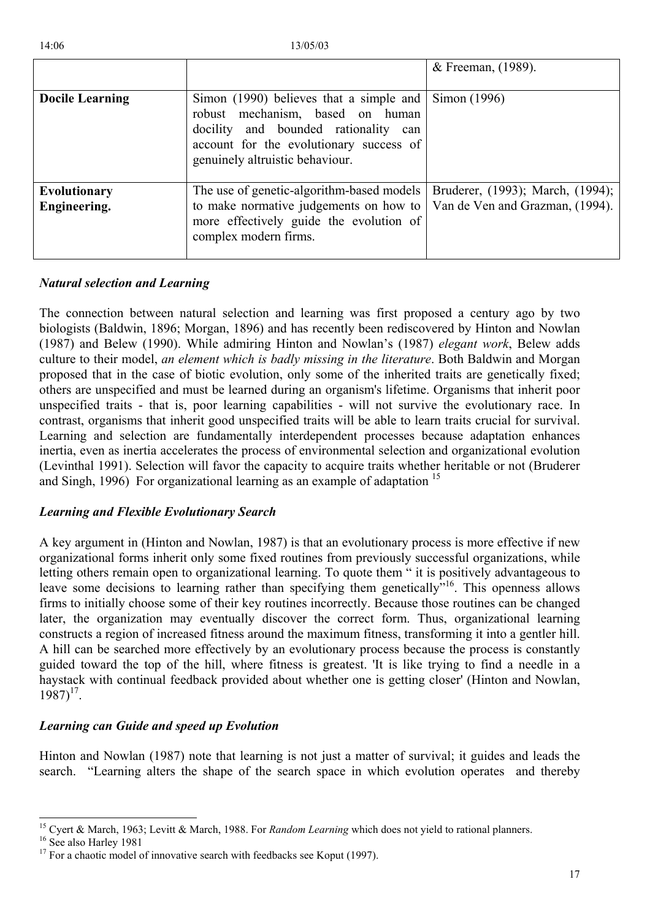|                              |                                                                                                                                                                                                                           | & Freeman, (1989).                                                  |
|------------------------------|---------------------------------------------------------------------------------------------------------------------------------------------------------------------------------------------------------------------------|---------------------------------------------------------------------|
| <b>Docile Learning</b>       | Simon (1990) believes that a simple and $\vert$ Simon (1996)<br>robust mechanism, based on human<br>docility and bounded rationality<br>can<br>account for the evolutionary success of<br>genuinely altruistic behaviour. |                                                                     |
| Evolutionary<br>Engineering. | The use of genetic-algorithm-based models<br>to make normative judgements on how to<br>more effectively guide the evolution of<br>complex modern firms.                                                                   | Bruderer, (1993); March, (1994);<br>Van de Ven and Grazman, (1994). |

# *Natural selection and Learning*

The connection between natural selection and learning was first proposed a century ago by two biologists (Baldwin, 1896; Morgan, 1896) and has recently been rediscovered by Hinton and Nowlan (1987) and Belew (1990). While admiring Hinton and Nowlan's (1987) *elegant work*, Belew adds culture to their model, *an element which is badly missing in the literature*. Both Baldwin and Morgan proposed that in the case of biotic evolution, only some of the inherited traits are genetically fixed; others are unspecified and must be learned during an organism's lifetime. Organisms that inherit poor unspecified traits - that is, poor learning capabilities - will not survive the evolutionary race. In contrast, organisms that inherit good unspecified traits will be able to learn traits crucial for survival. Learning and selection are fundamentally interdependent processes because adaptation enhances inertia, even as inertia accelerates the process of environmental selection and organizational evolution (Levinthal 1991). Selection will favor the capacity to acquire traits whether heritable or not (Bruderer and Singh, 1996) For organizational learning as an example of adaptation <sup>15</sup>

# *Learning and Flexible Evolutionary Search*

A key argument in (Hinton and Nowlan, 1987) is that an evolutionary process is more effective if new organizational forms inherit only some fixed routines from previously successful organizations, while letting others remain open to organizational learning. To quote them " it is positively advantageous to leave some decisions to learning rather than specifying them genetically.<sup>16</sup>. This openness allows firms to initially choose some of their key routines incorrectly. Because those routines can be changed later, the organization may eventually discover the correct form. Thus, organizational learning constructs a region of increased fitness around the maximum fitness, transforming it into a gentler hill. A hill can be searched more effectively by an evolutionary process because the process is constantly guided toward the top of the hill, where fitness is greatest. 'It is like trying to find a needle in a haystack with continual feedback provided about whether one is getting closer' (Hinton and Nowlan,  $1987$ <sup>17</sup>.

# *Learning can Guide and speed up Evolution*

Hinton and Nowlan (1987) note that learning is not just a matter of survival; it guides and leads the search. "Learning alters the shape of the search space in which evolution operates and thereby

<span id="page-16-0"></span><sup>&</sup>lt;sup>15</sup> Cyert & March, 1963; Levitt & March, 1988. For *Random Learning* which does not yield to rational planners.<br><sup>16</sup> See also Harley 1981<br><sup>17</sup> For a chaotic model of innovative search with feedbacks see Koput (1997).

<span id="page-16-1"></span>

<span id="page-16-2"></span>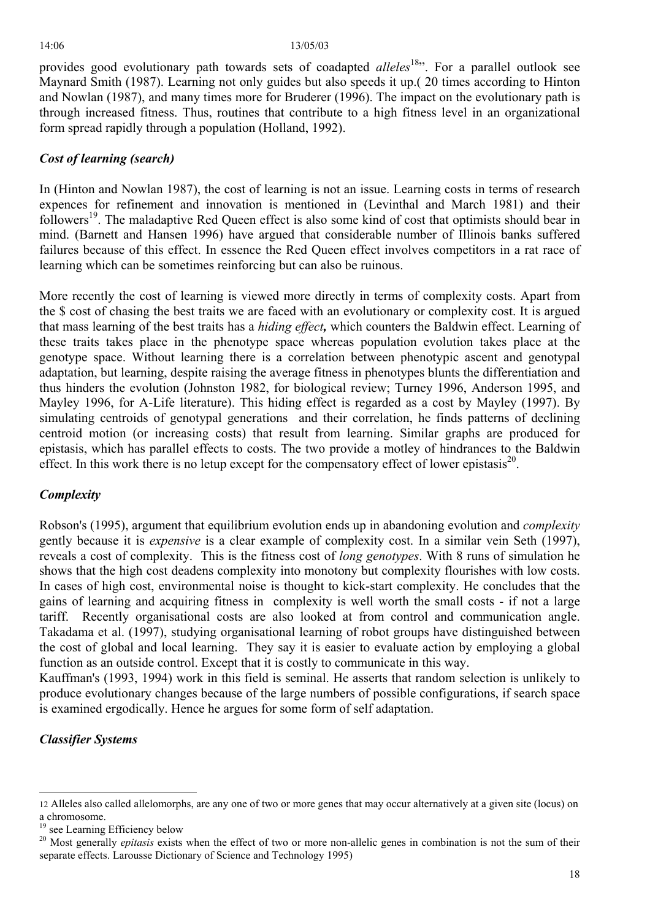provides good evolutionary path towards sets of coadapted *alleles*<sup>18</sup>". For a parallel outlook see Maynard Smith (1987). Learning not only guides but also speeds it up.( 20 times according to Hinton and Nowlan (1987), and many times more for Bruderer (1996). The impact on the evolutionary path is through increased fitness. Thus, routines that contribute to a high fitness level in an organizational form spread rapidly through a population (Holland, 1992).

# *Cost of learning (search)*

In (Hinton and Nowlan 1987), the cost of learning is not an issue. Learning costs in terms of research expences for refinement and innovation is mentioned in (Levinthal and March 1981) and their followers<sup>19</sup>. The maladaptive Red Queen effect is also some kind of cost that optimists should bear in mind. (Barnett and Hansen 1996) have argued that considerable number of Illinois banks suffered failures because of this effect. In essence the Red Queen effect involves competitors in a rat race of learning which can be sometimes reinforcing but can also be ruinous.

More recently the cost of learning is viewed more directly in terms of complexity costs. Apart from the \$ cost of chasing the best traits we are faced with an evolutionary or complexity cost. It is argued that mass learning of the best traits has a *hiding effect,* which counters the Baldwin effect. Learning of these traits takes place in the phenotype space whereas population evolution takes place at the genotype space. Without learning there is a correlation between phenotypic ascent and genotypal adaptation, but learning, despite raising the average fitness in phenotypes blunts the differentiation and thus hinders the evolution (Johnston 1982, for biological review; Turney 1996, Anderson 1995, and Mayley 1996, for A-Life literature). This hiding effect is regarded as a cost by Mayley (1997). By simulating centroids of genotypal generations and their correlation, he finds patterns of declining centroid motion (or increasing costs) that result from learning. Similar graphs are produced for epistasis, which has parallel effects to costs. The two provide a motley of hindrances to the Baldwin effect. In this work there is no letup except for the compensatory effect of lower epistasis<sup>20</sup>.

# *Complexity*

Robson's (1995), argument that equilibrium evolution ends up in abandoning evolution and *complexity* gently because it is *expensive* is a clear example of complexity cost. In a similar vein Seth (1997), reveals a cost of complexity. This is the fitness cost of *long genotypes*. With 8 runs of simulation he shows that the high cost deadens complexity into monotony but complexity flourishes with low costs. In cases of high cost, environmental noise is thought to kick-start complexity. He concludes that the gains of learning and acquiring fitness in complexity is well worth the small costs - if not a large tariff. Recently organisational costs are also looked at from control and communication angle. Takadama et al. (1997), studying organisational learning of robot groups have distinguished between the cost of global and local learning. They say it is easier to evaluate action by employing a global function as an outside control. Except that it is costly to communicate in this way.

Kauffman's (1993, 1994) work in this field is seminal. He asserts that random selection is unlikely to produce evolutionary changes because of the large numbers of possible configurations, if search space is examined ergodically. Hence he argues for some form of self adaptation.

# *Classifier Systems*

<span id="page-17-0"></span><sup>12</sup> Alleles also called allelomorphs, are any one of two or more genes that may occur alternatively at a given site (locus) on a chromosome. 19 see Learning Efficiency below

<span id="page-17-1"></span>

<span id="page-17-2"></span><sup>&</sup>lt;sup>20</sup> Most generally *epitasis* exists when the effect of two or more non-allelic genes in combination is not the sum of their separate effects. Larousse Dictionary of Science and Technology 1995)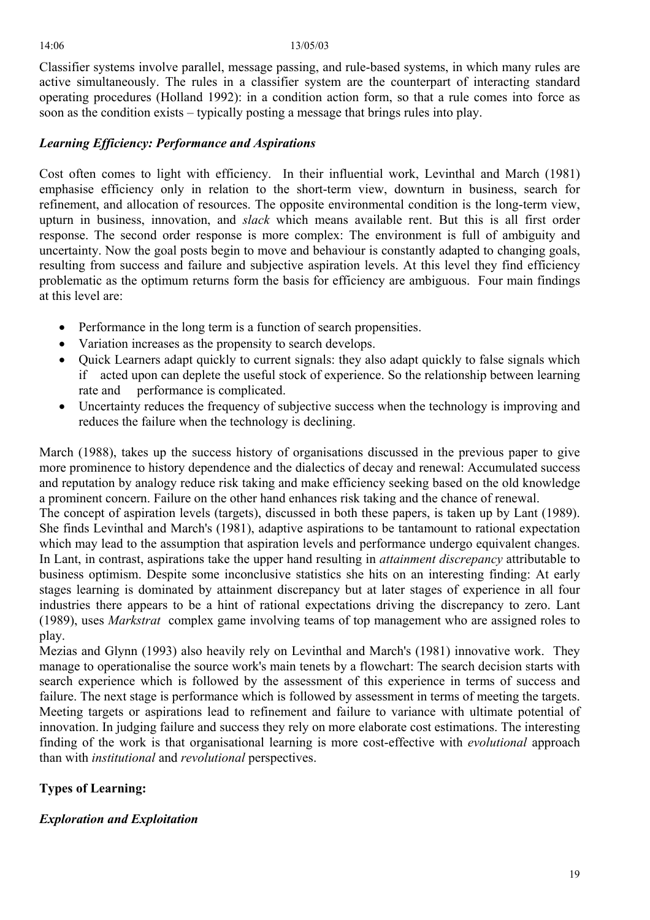Classifier systems involve parallel, message passing, and rule-based systems, in which many rules are active simultaneously. The rules in a classifier system are the counterpart of interacting standard operating procedures (Holland 1992): in a condition action form, so that a rule comes into force as soon as the condition exists – typically posting a message that brings rules into play.

# *Learning Efficiency: Performance and Aspirations*

Cost often comes to light with efficiency. In their influential work, Levinthal and March (1981) emphasise efficiency only in relation to the short-term view, downturn in business, search for refinement, and allocation of resources. The opposite environmental condition is the long-term view, upturn in business, innovation, and *slack* which means available rent. But this is all first order response. The second order response is more complex: The environment is full of ambiguity and uncertainty. Now the goal posts begin to move and behaviour is constantly adapted to changing goals, resulting from success and failure and subjective aspiration levels. At this level they find efficiency problematic as the optimum returns form the basis for efficiency are ambiguous. Four main findings at this level are:

- Performance in the long term is a function of search propensities.
- Variation increases as the propensity to search develops.
- Quick Learners adapt quickly to current signals: they also adapt quickly to false signals which if acted upon can deplete the useful stock of experience. So the relationship between learning rate and performance is complicated.
- Uncertainty reduces the frequency of subjective success when the technology is improving and reduces the failure when the technology is declining.

March (1988), takes up the success history of organisations discussed in the previous paper to give more prominence to history dependence and the dialectics of decay and renewal: Accumulated success and reputation by analogy reduce risk taking and make efficiency seeking based on the old knowledge a prominent concern. Failure on the other hand enhances risk taking and the chance of renewal.

The concept of aspiration levels (targets), discussed in both these papers, is taken up by Lant (1989). She finds Levinthal and March's (1981), adaptive aspirations to be tantamount to rational expectation which may lead to the assumption that aspiration levels and performance undergo equivalent changes. In Lant, in contrast, aspirations take the upper hand resulting in *attainment discrepancy* attributable to business optimism. Despite some inconclusive statistics she hits on an interesting finding: At early stages learning is dominated by attainment discrepancy but at later stages of experience in all four industries there appears to be a hint of rational expectations driving the discrepancy to zero. Lant (1989), uses *Markstrat* complex game involving teams of top management who are assigned roles to play.

Mezias and Glynn (1993) also heavily rely on Levinthal and March's (1981) innovative work. They manage to operationalise the source work's main tenets by a flowchart: The search decision starts with search experience which is followed by the assessment of this experience in terms of success and failure. The next stage is performance which is followed by assessment in terms of meeting the targets. Meeting targets or aspirations lead to refinement and failure to variance with ultimate potential of innovation. In judging failure and success they rely on more elaborate cost estimations. The interesting finding of the work is that organisational learning is more cost-effective with *evolutional* approach than with *institutional* and *revolutional* perspectives.

# **Types of Learning:**

# *Exploration and Exploitation*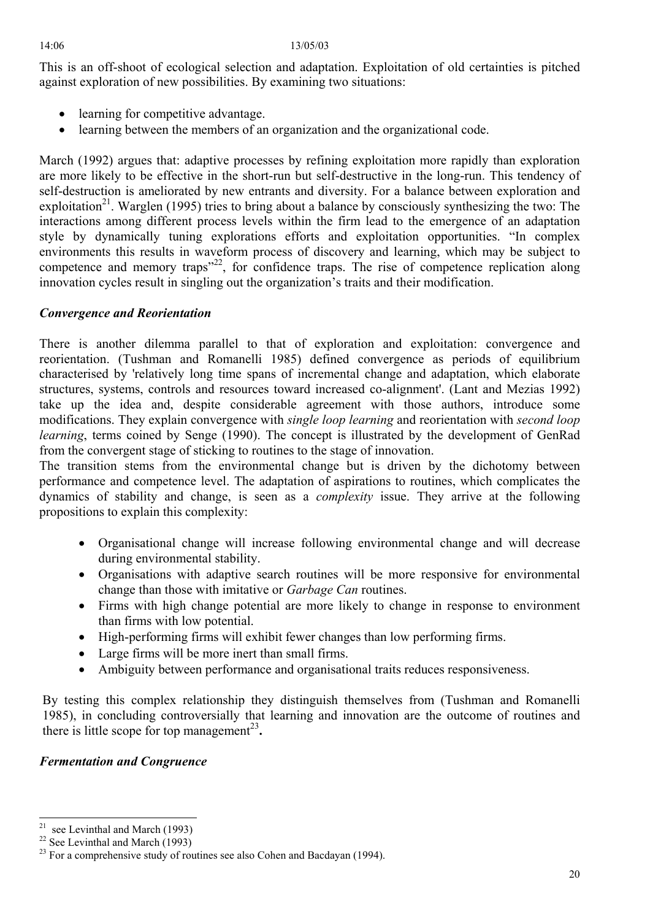This is an off-shoot of ecological selection and adaptation. Exploitation of old certainties is pitched against exploration of new possibilities. By examining two situations:

- learning for competitive advantage.
- learning between the members of an organization and the organizational code.

March (1992) argues that: adaptive processes by refining exploitation more rapidly than exploration are more likely to be effective in the short-run but self-destructive in the long-run. This tendency of self-destruction is ameliorated by new entrants and diversity. For a balance between exploration and exploitation<sup>21</sup>. Warglen (1995) tries to bring about a balance by consciously synthesizing the two: The interactions among different process levels within the firm lead to the emergence of an adaptation style by dynamically tuning explorations efforts and exploitation opportunities. "In complex environments this results in waveform process of discovery and learning, which may be subject to competence and memory traps<sup> $22$ </sup>, for confidence traps. The rise of competence replication along innovation cycles result in singling out the organization's traits and their modification.

# *Convergence and Reorientation*

There is another dilemma parallel to that of exploration and exploitation: convergence and reorientation. (Tushman and Romanelli 1985) defined convergence as periods of equilibrium characterised by 'relatively long time spans of incremental change and adaptation, which elaborate structures, systems, controls and resources toward increased co-alignment'. (Lant and Mezias 1992) take up the idea and, despite considerable agreement with those authors, introduce some modifications. They explain convergence with *single loop learning* and reorientation with *second loop learning*, terms coined by Senge (1990). The concept is illustrated by the development of GenRad from the convergent stage of sticking to routines to the stage of innovation.

The transition stems from the environmental change but is driven by the dichotomy between performance and competence level. The adaptation of aspirations to routines, which complicates the dynamics of stability and change, is seen as a *complexity* issue. They arrive at the following propositions to explain this complexity:

- Organisational change will increase following environmental change and will decrease during environmental stability.
- Organisations with adaptive search routines will be more responsive for environmental change than those with imitative or *Garbage Can* routines.
- Firms with high change potential are more likely to change in response to environment than firms with low potential.
- High-performing firms will exhibit fewer changes than low performing firms.
- Large firms will be more inert than small firms.
- Ambiguity between performance and organisational traits reduces responsiveness.

By testing this complex relationship they distinguish themselves from (Tushman and Romanelli 1985), in concluding controversially that learning and innovation are the outcome of routines and there is little scope for top management<sup>[23](#page-19-2)</sup>.

# *Fermentation and Congruence*

<span id="page-19-0"></span> $21$ 

<span id="page-19-2"></span><span id="page-19-1"></span>

<sup>&</sup>lt;sup>21</sup> see Levinthal and March (1993)<br><sup>22</sup> See Levinthal and March (1993)<br><sup>23</sup> For a comprehensive study of routines see also Cohen and Bacdayan (1994).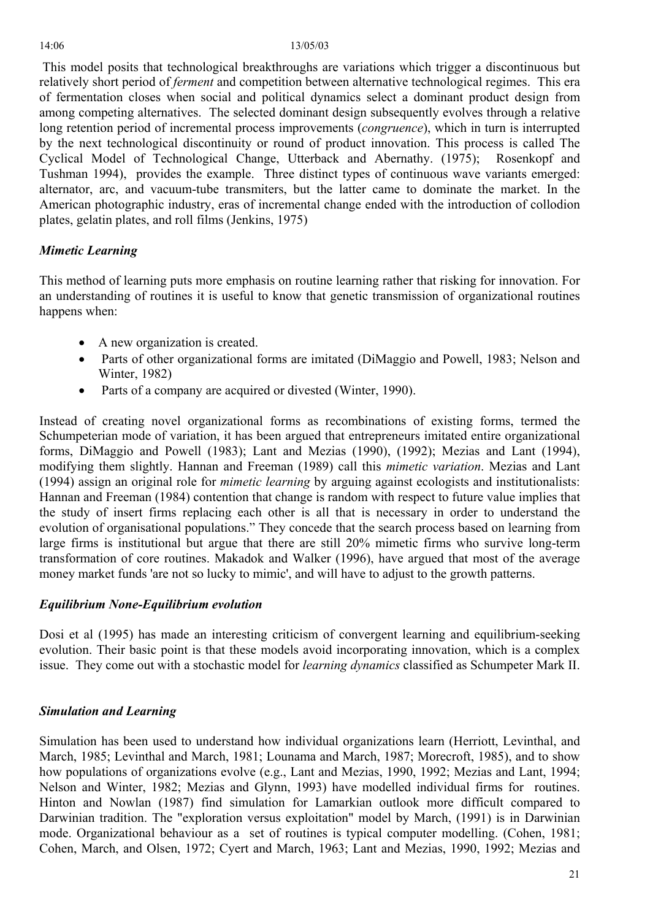This model posits that technological breakthroughs are variations which trigger a discontinuous but relatively short period of *ferment* and competition between alternative technological regimes. This era of fermentation closes when social and political dynamics select a dominant product design from among competing alternatives. The selected dominant design subsequently evolves through a relative long retention period of incremental process improvements (*congruence*), which in turn is interrupted by the next technological discontinuity or round of product innovation. This process is called The Cyclical Model of Technological Change, Utterback and Abernathy. (1975); Rosenkopf and Tushman 1994), provides the example. Three distinct types of continuous wave variants emerged: alternator, arc, and vacuum-tube transmiters, but the latter came to dominate the market. In the American photographic industry, eras of incremental change ended with the introduction of collodion plates, gelatin plates, and roll films (Jenkins, 1975)

# *Mimetic Learning*

This method of learning puts more emphasis on routine learning rather that risking for innovation. For an understanding of routines it is useful to know that genetic transmission of organizational routines happens when:

- A new organization is created.
- Parts of other organizational forms are imitated (DiMaggio and Powell, 1983; Nelson and Winter, 1982)
- Parts of a company are acquired or divested (Winter, 1990).

Instead of creating novel organizational forms as recombinations of existing forms, termed the Schumpeterian mode of variation, it has been argued that entrepreneurs imitated entire organizational forms, DiMaggio and Powell (1983); Lant and Mezias (1990), (1992); Mezias and Lant (1994), modifying them slightly. Hannan and Freeman (1989) call this *mimetic variation*. Mezias and Lant (1994) assign an original role for *mimetic learning* by arguing against ecologists and institutionalists: Hannan and Freeman (1984) contention that change is random with respect to future value implies that the study of insert firms replacing each other is all that is necessary in order to understand the evolution of organisational populations." They concede that the search process based on learning from large firms is institutional but argue that there are still 20% mimetic firms who survive long-term transformation of core routines. Makadok and Walker (1996), have argued that most of the average money market funds 'are not so lucky to mimic', and will have to adjust to the growth patterns.

# *Equilibrium None-Equilibrium evolution*

Dosi et al (1995) has made an interesting criticism of convergent learning and equilibrium-seeking evolution. Their basic point is that these models avoid incorporating innovation, which is a complex issue. They come out with a stochastic model for *learning dynamics* classified as Schumpeter Mark II.

# *Simulation and Learning*

Simulation has been used to understand how individual organizations learn (Herriott, Levinthal, and March, 1985; Levinthal and March, 1981; Lounama and March, 1987; Morecroft, 1985), and to show how populations of organizations evolve (e.g., Lant and Mezias, 1990, 1992; Mezias and Lant, 1994; Nelson and Winter, 1982; Mezias and Glynn, 1993) have modelled individual firms for routines. Hinton and Nowlan (1987) find simulation for Lamarkian outlook more difficult compared to Darwinian tradition. The "exploration versus exploitation" model by March, (1991) is in Darwinian mode. Organizational behaviour as a set of routines is typical computer modelling. (Cohen, 1981; Cohen, March, and Olsen, 1972; Cyert and March, 1963; Lant and Mezias, 1990, 1992; Mezias and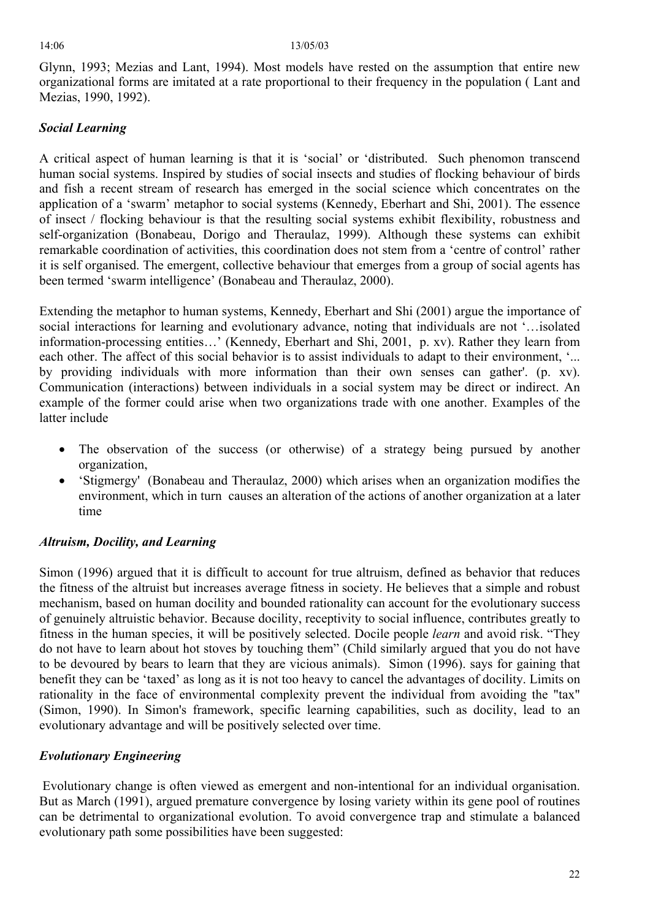Glynn, 1993; Mezias and Lant, 1994). Most models have rested on the assumption that entire new organizational forms are imitated at a rate proportional to their frequency in the population ( Lant and Mezias, 1990, 1992).

# *Social Learning*

A critical aspect of human learning is that it is 'social' or 'distributed. Such phenomon transcend human social systems. Inspired by studies of social insects and studies of flocking behaviour of birds and fish a recent stream of research has emerged in the social science which concentrates on the application of a 'swarm' metaphor to social systems (Kennedy, Eberhart and Shi, 2001). The essence of insect / flocking behaviour is that the resulting social systems exhibit flexibility, robustness and self-organization (Bonabeau, Dorigo and Theraulaz, 1999). Although these systems can exhibit remarkable coordination of activities, this coordination does not stem from a 'centre of control' rather it is self organised. The emergent, collective behaviour that emerges from a group of social agents has been termed 'swarm intelligence' (Bonabeau and Theraulaz, 2000).

Extending the metaphor to human systems, Kennedy, Eberhart and Shi (2001) argue the importance of social interactions for learning and evolutionary advance, noting that individuals are not '…isolated information-processing entities…' (Kennedy, Eberhart and Shi, 2001, p. xv). Rather they learn from each other. The affect of this social behavior is to assist individuals to adapt to their environment, '... by providing individuals with more information than their own senses can gather'. (p. xv). Communication (interactions) between individuals in a social system may be direct or indirect. An example of the former could arise when two organizations trade with one another. Examples of the latter include

- The observation of the success (or otherwise) of a strategy being pursued by another organization,
- 'Stigmergy' (Bonabeau and Theraulaz, 2000) which arises when an organization modifies the environment, which in turn causes an alteration of the actions of another organization at a later time

# *Altruism, Docility, and Learning*

Simon (1996) argued that it is difficult to account for true altruism, defined as behavior that reduces the fitness of the altruist but increases average fitness in society. He believes that a simple and robust mechanism, based on human docility and bounded rationality can account for the evolutionary success of genuinely altruistic behavior. Because docility, receptivity to social influence, contributes greatly to fitness in the human species, it will be positively selected. Docile people *learn* and avoid risk. "They do not have to learn about hot stoves by touching them" (Child similarly argued that you do not have to be devoured by bears to learn that they are vicious animals). Simon (1996). says for gaining that benefit they can be 'taxed' as long as it is not too heavy to cancel the advantages of docility. Limits on rationality in the face of environmental complexity prevent the individual from avoiding the "tax" (Simon, 1990). In Simon's framework, specific learning capabilities, such as docility, lead to an evolutionary advantage and will be positively selected over time.

# *Evolutionary Engineering*

Evolutionary change is often viewed as emergent and non-intentional for an individual organisation. But as March (1991), argued premature convergence by losing variety within its gene pool of routines can be detrimental to organizational evolution. To avoid convergence trap and stimulate a balanced evolutionary path some possibilities have been suggested: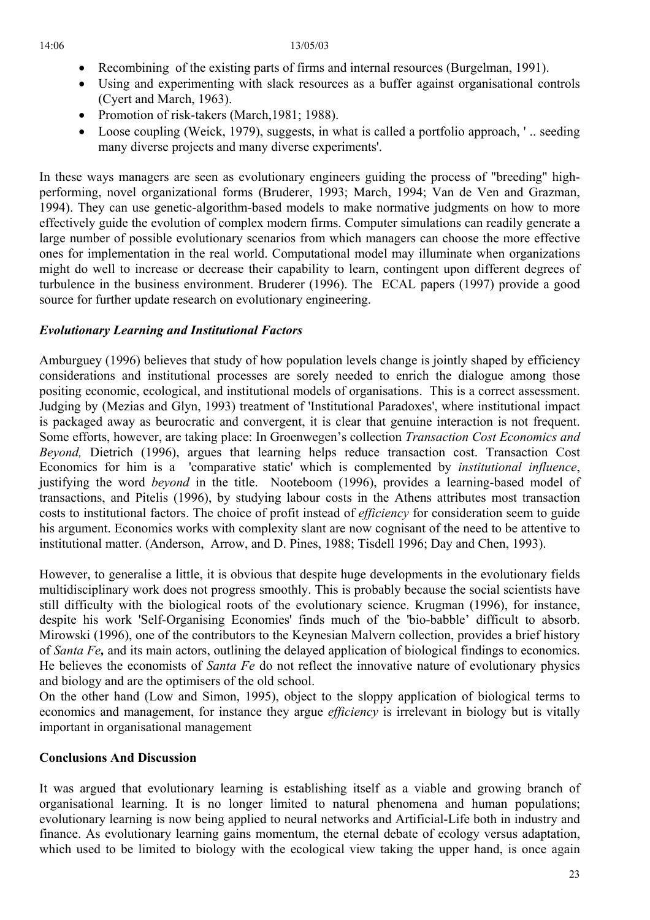- Recombining of the existing parts of firms and internal resources (Burgelman, 1991).
- Using and experimenting with slack resources as a buffer against organisational controls (Cyert and March, 1963).
- Promotion of risk-takers (March, 1981; 1988).
- Loose coupling (Weick, 1979), suggests, in what is called a portfolio approach, '.. seeding many diverse projects and many diverse experiments'.

In these ways managers are seen as evolutionary engineers guiding the process of "breeding" highperforming, novel organizational forms (Bruderer, 1993; March, 1994; Van de Ven and Grazman, 1994). They can use genetic-algorithm-based models to make normative judgments on how to more effectively guide the evolution of complex modern firms. Computer simulations can readily generate a large number of possible evolutionary scenarios from which managers can choose the more effective ones for implementation in the real world. Computational model may illuminate when organizations might do well to increase or decrease their capability to learn, contingent upon different degrees of turbulence in the business environment. Bruderer (1996). The ECAL papers (1997) provide a good source for further update research on evolutionary engineering.

# *Evolutionary Learning and Institutional Factors*

Amburguey (1996) believes that study of how population levels change is jointly shaped by efficiency considerations and institutional processes are sorely needed to enrich the dialogue among those positing economic, ecological, and institutional models of organisations. This is a correct assessment. Judging by (Mezias and Glyn, 1993) treatment of 'Institutional Paradoxes', where institutional impact is packaged away as beurocratic and convergent, it is clear that genuine interaction is not frequent. Some efforts, however, are taking place: In Groenwegen's collection *Transaction Cost Economics and Beyond,* Dietrich (1996), argues that learning helps reduce transaction cost. Transaction Cost Economics for him is a 'comparative static' which is complemented by *institutional influence*, justifying the word *beyond* in the title. Nooteboom (1996), provides a learning-based model of transactions, and Pitelis (1996), by studying labour costs in the Athens attributes most transaction costs to institutional factors. The choice of profit instead of *efficiency* for consideration seem to guide his argument. Economics works with complexity slant are now cognisant of the need to be attentive to institutional matter. (Anderson, Arrow, and D. Pines, 1988; Tisdell 1996; Day and Chen, 1993).

However, to generalise a little, it is obvious that despite huge developments in the evolutionary fields multidisciplinary work does not progress smoothly. This is probably because the social scientists have still difficulty with the biological roots of the evolutionary science. Krugman (1996), for instance, despite his work 'Self-Organising Economies' finds much of the 'bio-babble' difficult to absorb. Mirowski (1996), one of the contributors to the Keynesian Malvern collection, provides a brief history of *Santa Fe,* and its main actors, outlining the delayed application of biological findings to economics. He believes the economists of *Santa Fe* do not reflect the innovative nature of evolutionary physics and biology and are the optimisers of the old school.

On the other hand (Low and Simon, 1995), object to the sloppy application of biological terms to economics and management, for instance they argue *efficiency* is irrelevant in biology but is vitally important in organisational management

# **Conclusions And Discussion**

It was argued that evolutionary learning is establishing itself as a viable and growing branch of organisational learning. It is no longer limited to natural phenomena and human populations; evolutionary learning is now being applied to neural networks and Artificial-Life both in industry and finance. As evolutionary learning gains momentum, the eternal debate of ecology versus adaptation, which used to be limited to biology with the ecological view taking the upper hand, is once again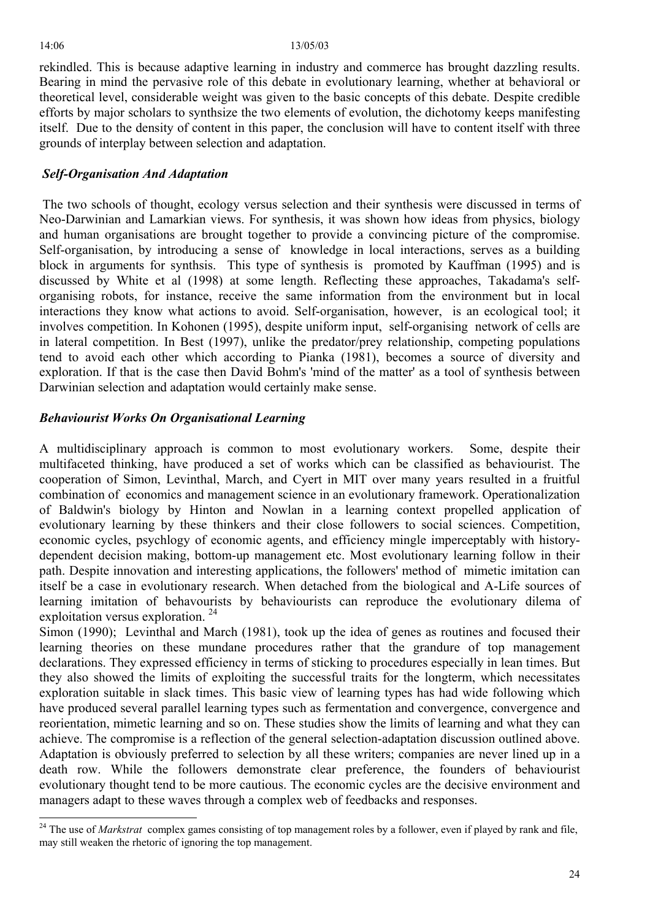$\overline{a}$ 

rekindled. This is because adaptive learning in industry and commerce has brought dazzling results. Bearing in mind the pervasive role of this debate in evolutionary learning, whether at behavioral or theoretical level, considerable weight was given to the basic concepts of this debate. Despite credible efforts by major scholars to synthsize the two elements of evolution, the dichotomy keeps manifesting itself. Due to the density of content in this paper, the conclusion will have to content itself with three grounds of interplay between selection and adaptation.

# *Self-Organisation And Adaptation*

The two schools of thought, ecology versus selection and their synthesis were discussed in terms of Neo-Darwinian and Lamarkian views. For synthesis, it was shown how ideas from physics, biology and human organisations are brought together to provide a convincing picture of the compromise. Self-organisation, by introducing a sense of knowledge in local interactions, serves as a building block in arguments for synthsis. This type of synthesis is promoted by Kauffman (1995) and is discussed by White et al (1998) at some length. Reflecting these approaches, Takadama's selforganising robots, for instance, receive the same information from the environment but in local interactions they know what actions to avoid. Self-organisation, however, is an ecological tool; it involves competition. In Kohonen (1995), despite uniform input, self-organising network of cells are in lateral competition. In Best (1997), unlike the predator/prey relationship, competing populations tend to avoid each other which according to Pianka (1981), becomes a source of diversity and exploration. If that is the case then David Bohm's 'mind of the matter' as a tool of synthesis between Darwinian selection and adaptation would certainly make sense.

# *Behaviourist Works On Organisational Learning*

A multidisciplinary approach is common to most evolutionary workers. Some, despite their multifaceted thinking, have produced a set of works which can be classified as behaviourist. The cooperation of Simon, Levinthal, March, and Cyert in MIT over many years resulted in a fruitful combination of economics and management science in an evolutionary framework. Operationalization of Baldwin's biology by Hinton and Nowlan in a learning context propelled application of evolutionary learning by these thinkers and their close followers to social sciences. Competition, economic cycles, psychlogy of economic agents, and efficiency mingle imperceptably with historydependent decision making, bottom-up management etc. Most evolutionary learning follow in their path. Despite innovation and interesting applications, the followers' method of mimetic imitation can itself be a case in evolutionary research. When detached from the biological and A-Life sources of learning imitation of behavourists by behaviourists can reproduce the evolutionary dilema of exploitation versus exploration.<sup>[24](#page-23-0)</sup>

Simon (1990); Levinthal and March (1981), took up the idea of genes as routines and focused their learning theories on these mundane procedures rather that the grandure of top management declarations. They expressed efficiency in terms of sticking to procedures especially in lean times. But they also showed the limits of exploiting the successful traits for the longterm, which necessitates exploration suitable in slack times. This basic view of learning types has had wide following which have produced several parallel learning types such as fermentation and convergence, convergence and reorientation, mimetic learning and so on. These studies show the limits of learning and what they can achieve. The compromise is a reflection of the general selection-adaptation discussion outlined above. Adaptation is obviously preferred to selection by all these writers; companies are never lined up in a death row. While the followers demonstrate clear preference, the founders of behaviourist evolutionary thought tend to be more cautious. The economic cycles are the decisive environment and managers adapt to these waves through a complex web of feedbacks and responses.

<span id="page-23-0"></span><sup>&</sup>lt;sup>24</sup> The use of *Markstrat* complex games consisting of top management roles by a follower, even if played by rank and file, may still weaken the rhetoric of ignoring the top management.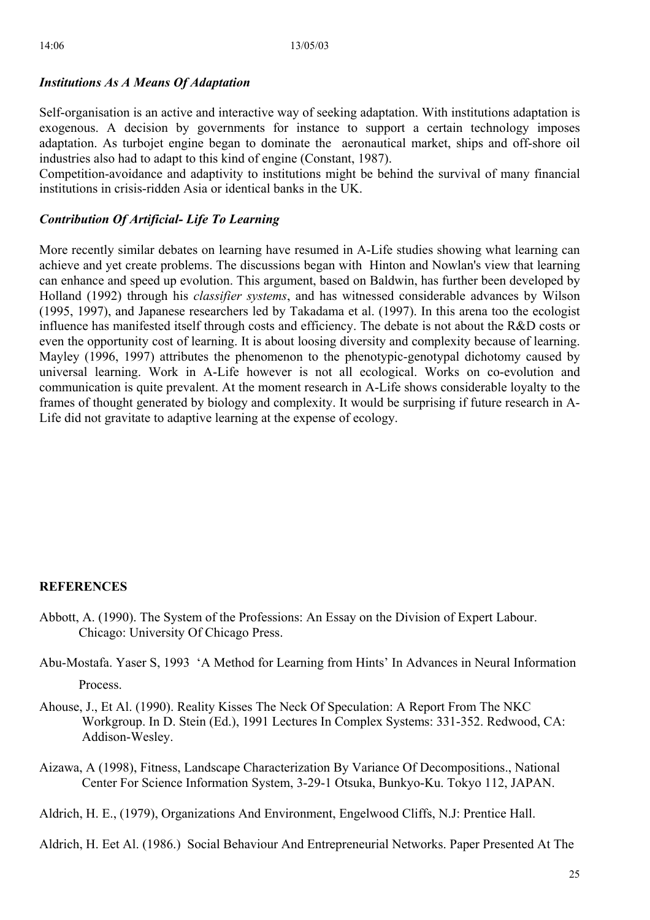# *Institutions As A Means Of Adaptation*

Self-organisation is an active and interactive way of seeking adaptation. With institutions adaptation is exogenous. A decision by governments for instance to support a certain technology imposes adaptation. As turbojet engine began to dominate the aeronautical market, ships and off-shore oil industries also had to adapt to this kind of engine (Constant, 1987).

Competition-avoidance and adaptivity to institutions might be behind the survival of many financial institutions in crisis-ridden Asia or identical banks in the UK.

# *Contribution Of Artificial- Life To Learning*

More recently similar debates on learning have resumed in A-Life studies showing what learning can achieve and yet create problems. The discussions began with Hinton and Nowlan's view that learning can enhance and speed up evolution. This argument, based on Baldwin, has further been developed by Holland (1992) through his *classifier systems*, and has witnessed considerable advances by Wilson (1995, 1997), and Japanese researchers led by Takadama et al. (1997). In this arena too the ecologist influence has manifested itself through costs and efficiency. The debate is not about the R&D costs or even the opportunity cost of learning. It is about loosing diversity and complexity because of learning. Mayley (1996, 1997) attributes the phenomenon to the phenotypic-genotypal dichotomy caused by universal learning. Work in A-Life however is not all ecological. Works on co-evolution and communication is quite prevalent. At the moment research in A-Life shows considerable loyalty to the frames of thought generated by biology and complexity. It would be surprising if future research in A-Life did not gravitate to adaptive learning at the expense of ecology.

# **REFERENCES**

- Abbott, A. (1990). The System of the Professions: An Essay on the Division of Expert Labour. Chicago: University Of Chicago Press.
- Abu-Mostafa. Yaser S, 1993 'A Method for Learning from Hints' In Advances in Neural Information Process.
- Ahouse, J., Et Al. (1990). Reality Kisses The Neck Of Speculation: A Report From The NKC Workgroup. In D. Stein (Ed.), 1991 Lectures In Complex Systems: 331-352. Redwood, CA: Addison-Wesley.
- Aizawa, A (1998), Fitness, Landscape Characterization By Variance Of Decompositions., National Center For Science Information System, 3-29-1 Otsuka, Bunkyo-Ku. Tokyo 112, JAPAN.

Aldrich, H. E., (1979), Organizations And Environment, Engelwood Cliffs, N.J: Prentice Hall.

Aldrich, H. Eet Al. (1986.) Social Behaviour And Entrepreneurial Networks. Paper Presented At The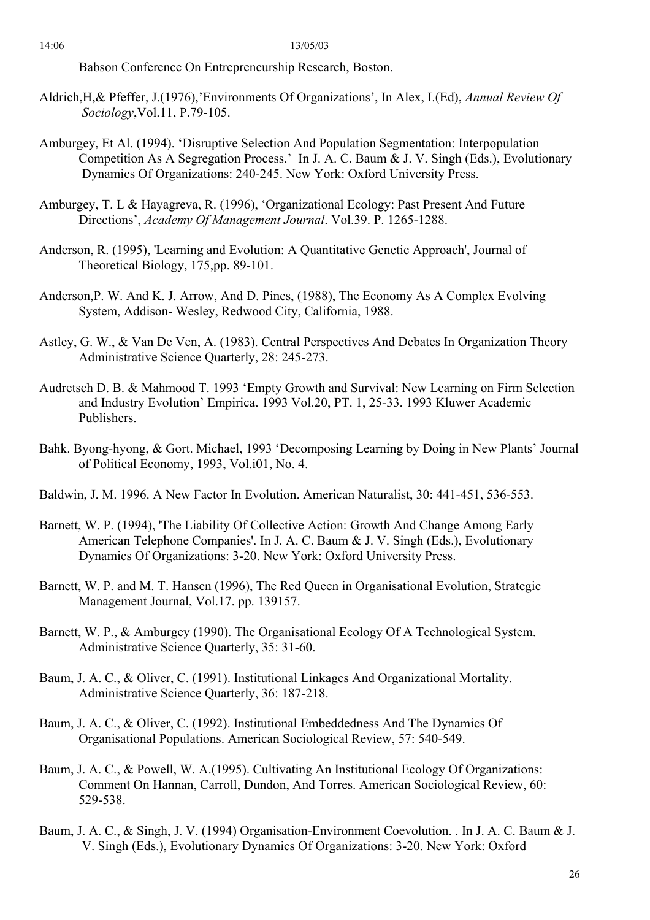Babson Conference On Entrepreneurship Research, Boston.

- Aldrich,H,& Pfeffer, J.(1976),'Environments Of Organizations', In Alex, I.(Ed), *Annual Review Of Sociology*,Vol.11, P.79-105.
- Amburgey, Et Al. (1994). 'Disruptive Selection And Population Segmentation: Interpopulation Competition As A Segregation Process.' In J. A. C. Baum & J. V. Singh (Eds.), Evolutionary Dynamics Of Organizations: 240-245. New York: Oxford University Press.
- Amburgey, T. L & Hayagreva, R. (1996), 'Organizational Ecology: Past Present And Future Directions', *Academy Of Management Journal*. Vol.39. P. 1265-1288.
- Anderson, R. (1995), 'Learning and Evolution: A Quantitative Genetic Approach', Journal of Theoretical Biology, 175,pp. 89-101.
- Anderson,P. W. And K. J. Arrow, And D. Pines, (1988), The Economy As A Complex Evolving System, Addison- Wesley, Redwood City, California, 1988.
- Astley, G. W., & Van De Ven, A. (1983). Central Perspectives And Debates In Organization Theory Administrative Science Quarterly, 28: 245-273.
- Audretsch D. B. & Mahmood T. 1993 'Empty Growth and Survival: New Learning on Firm Selection and Industry Evolution' Empirica. 1993 Vol.20, PT. 1, 25-33. 1993 Kluwer Academic Publishers.
- Bahk. Byong-hyong, & Gort. Michael, 1993 'Decomposing Learning by Doing in New Plants' Journal of Political Economy, 1993, Vol.i01, No. 4.
- Baldwin, J. M. 1996. A New Factor In Evolution. American Naturalist, 30: 441-451, 536-553.
- Barnett, W. P. (1994), 'The Liability Of Collective Action: Growth And Change Among Early American Telephone Companies'. In J. A. C. Baum & J. V. Singh (Eds.), Evolutionary Dynamics Of Organizations: 3-20. New York: Oxford University Press.
- Barnett, W. P. and M. T. Hansen (1996), The Red Queen in Organisational Evolution, Strategic Management Journal, Vol.17. pp. 139157.
- Barnett, W. P., & Amburgey (1990). The Organisational Ecology Of A Technological System. Administrative Science Quarterly, 35: 31-60.
- Baum, J. A. C., & Oliver, C. (1991). Institutional Linkages And Organizational Mortality. Administrative Science Quarterly, 36: 187-218.
- Baum, J. A. C., & Oliver, C. (1992). Institutional Embeddedness And The Dynamics Of Organisational Populations. American Sociological Review, 57: 540-549.
- Baum, J. A. C., & Powell, W. A.(1995). Cultivating An Institutional Ecology Of Organizations: Comment On Hannan, Carroll, Dundon, And Torres. American Sociological Review, 60: 529-538.
- Baum, J. A. C., & Singh, J. V. (1994) Organisation-Environment Coevolution. . In J. A. C. Baum & J. V. Singh (Eds.), Evolutionary Dynamics Of Organizations: 3-20. New York: Oxford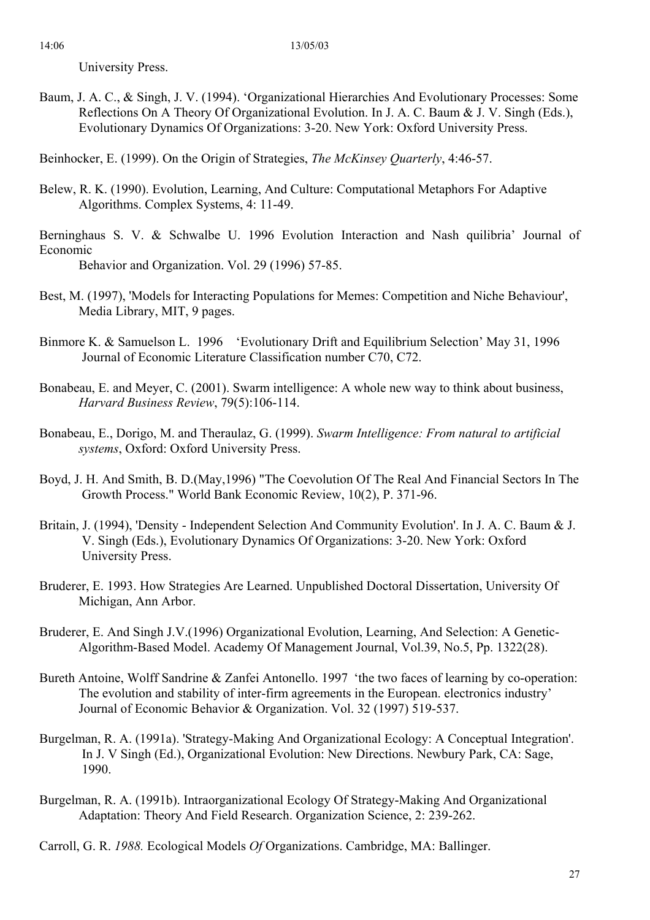University Press.

Baum, J. A. C., & Singh, J. V. (1994). 'Organizational Hierarchies And Evolutionary Processes: Some Reflections On A Theory Of Organizational Evolution. In J. A. C. Baum & J. V. Singh (Eds.), Evolutionary Dynamics Of Organizations: 3-20. New York: Oxford University Press.

Beinhocker, E. (1999). On the Origin of Strategies, *The McKinsey Quarterly*, 4:46-57.

- Belew, R. K. (1990). Evolution, Learning, And Culture: Computational Metaphors For Adaptive Algorithms. Complex Systems, 4: 11-49.
- Berninghaus S. V. & Schwalbe U. 1996 Evolution Interaction and Nash quilibria' Journal of Economic Behavior and Organization. Vol. 29 (1996) 57-85.

Best, M. (1997), 'Models for Interacting Populations for Memes: Competition and Niche Behaviour', Media Library, MIT, 9 pages.

- Binmore K. & Samuelson L. 1996 'Evolutionary Drift and Equilibrium Selection' May 31, 1996 Journal of Economic Literature Classification number C70, C72.
- Bonabeau, E. and Meyer, C. (2001). Swarm intelligence: A whole new way to think about business, *Harvard Business Review*, 79(5):106-114.
- Bonabeau, E., Dorigo, M. and Theraulaz, G. (1999). *Swarm Intelligence: From natural to artificial systems*, Oxford: Oxford University Press.
- Boyd, J. H. And Smith, B. D.(May,1996) "The Coevolution Of The Real And Financial Sectors In The Growth Process." World Bank Economic Review, 10(2), P. 371-96.
- Britain, J. (1994), 'Density Independent Selection And Community Evolution'. In J. A. C. Baum & J. V. Singh (Eds.), Evolutionary Dynamics Of Organizations: 3-20. New York: Oxford University Press.
- Bruderer, E. 1993. How Strategies Are Learned. Unpublished Doctoral Dissertation, University Of Michigan, Ann Arbor.
- Bruderer, E. And Singh J.V.(1996) Organizational Evolution, Learning, And Selection: A Genetic-Algorithm-Based Model. Academy Of Management Journal, Vol.39, No.5, Pp. 1322(28).
- Bureth Antoine, Wolff Sandrine & Zanfei Antonello. 1997 'the two faces of learning by co-operation: The evolution and stability of inter-firm agreements in the European. electronics industry' Journal of Economic Behavior & Organization. Vol. 32 (1997) 519-537.
- Burgelman, R. A. (1991a). 'Strategy-Making And Organizational Ecology: A Conceptual Integration'. In J. V Singh (Ed.), Organizational Evolution: New Directions. Newbury Park, CA: Sage, 1990.
- Burgelman, R. A. (1991b). Intraorganizational Ecology Of Strategy-Making And Organizational Adaptation: Theory And Field Research. Organization Science, 2: 239-262.
- Carroll, G. R. *1988.* Ecological Models *Of* Organizations. Cambridge, MA: Ballinger.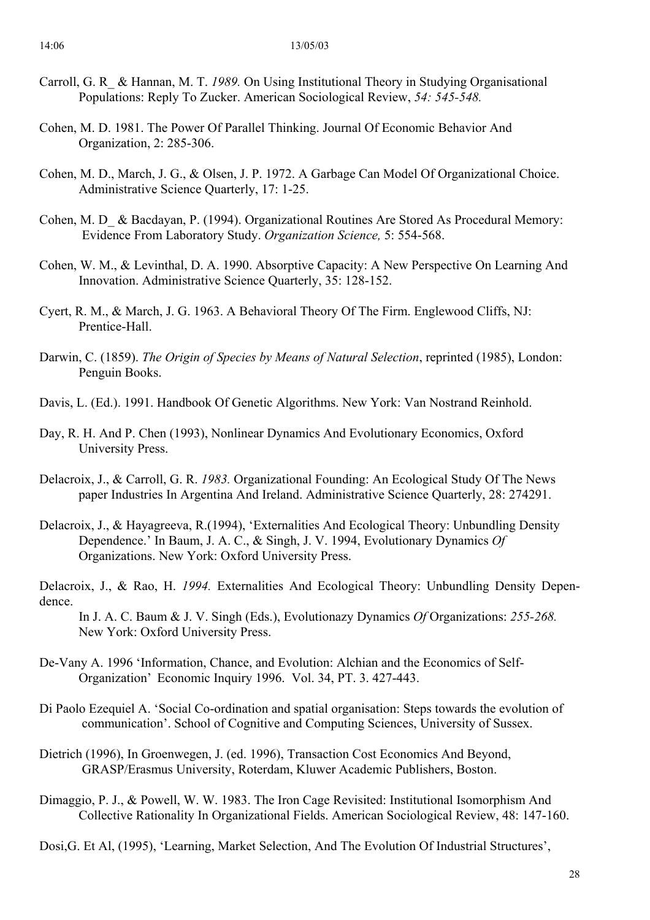- Carroll, G. R\_ & Hannan, M. T. *1989.* On Using Institutional Theory in Studying Organisational Populations: Reply To Zucker. American Sociological Review, *54: 545-548.*
- Cohen, M. D. 1981. The Power Of Parallel Thinking. Journal Of Economic Behavior And Organization, 2: 285-306.
- Cohen, M. D., March, J. G., & Olsen, J. P. 1972. A Garbage Can Model Of Organizational Choice. Administrative Science Quarterly, 17: 1-25.
- Cohen, M. D\_ & Bacdayan, P. (1994). Organizational Routines Are Stored As Procedural Memory: Evidence From Laboratory Study. *Organization Science,* 5: 554-568.
- Cohen, W. M., & Levinthal, D. A. 1990. Absorptive Capacity: A New Perspective On Learning And Innovation. Administrative Science Quarterly, 35: 128-152.
- Cyert, R. M., & March, J. G. 1963. A Behavioral Theory Of The Firm. Englewood Cliffs, NJ: Prentice-Hall.
- Darwin, C. (1859). *The Origin of Species by Means of Natural Selection*, reprinted (1985), London: Penguin Books.
- Davis, L. (Ed.). 1991. Handbook Of Genetic Algorithms. New York: Van Nostrand Reinhold.
- Day, R. H. And P. Chen (1993), Nonlinear Dynamics And Evolutionary Economics, Oxford University Press.
- Delacroix, J., & Carroll, G. R. *1983.* Organizational Founding: An Ecological Study Of The News paper Industries In Argentina And Ireland. Administrative Science Quarterly, 28: 274291.
- Delacroix, J., & Hayagreeva, R.(1994), 'Externalities And Ecological Theory: Unbundling Density Dependence.' In Baum, J. A. C., & Singh, J. V. 1994, Evolutionary Dynamics *Of*  Organizations. New York: Oxford University Press.
- Delacroix, J., & Rao, H. *1994.* Externalities And Ecological Theory: Unbundling Density Dependence.

In J. A. C. Baum & J. V. Singh (Eds.), Evolutionazy Dynamics *Of* Organizations: *255-268.*  New York: Oxford University Press.

- De-Vany A. 1996 'Information, Chance, and Evolution: Alchian and the Economics of Self-Organization' Economic Inquiry 1996. Vol. 34, PT. 3. 427-443.
- Di Paolo Ezequiel A. 'Social Co-ordination and spatial organisation: Steps towards the evolution of communication'. School of Cognitive and Computing Sciences, University of Sussex.
- Dietrich (1996), In Groenwegen, J. (ed. 1996), Transaction Cost Economics And Beyond, GRASP/Erasmus University, Roterdam, Kluwer Academic Publishers, Boston.
- Dimaggio, P. J., & Powell, W. W. 1983. The Iron Cage Revisited: Institutional Isomorphism And Collective Rationality In Organizational Fields. American Sociological Review, 48: 147-160.

Dosi,G. Et Al, (1995), 'Learning, Market Selection, And The Evolution Of Industrial Structures',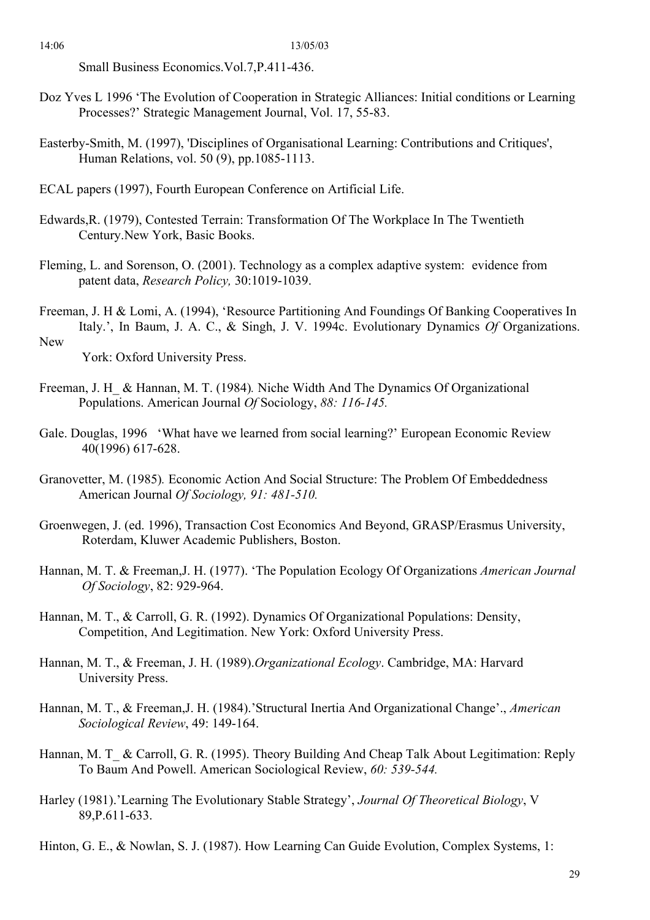Small Business Economics.Vol.7,P.411-436.

- Doz Yves L 1996 'The Evolution of Cooperation in Strategic Alliances: Initial conditions or Learning Processes?' Strategic Management Journal, Vol. 17, 55-83.
- Easterby-Smith, M. (1997), 'Disciplines of Organisational Learning: Contributions and Critiques', Human Relations, vol. 50 (9), pp.1085-1113.
- ECAL papers (1997), Fourth European Conference on Artificial Life.
- Edwards,R. (1979), Contested Terrain: Transformation Of The Workplace In The Twentieth Century.New York, Basic Books.
- Fleming, L. and Sorenson, O. (2001). Technology as a complex adaptive system: evidence from patent data, *Research Policy,* 30:1019-1039.
- Freeman, J. H & Lomi, A. (1994), 'Resource Partitioning And Foundings Of Banking Cooperatives In Italy.', In Baum, J. A. C., & Singh, J. V. 1994c. Evolutionary Dynamics *Of* Organizations. New

York: Oxford University Press.

- Freeman, J. H\_ & Hannan, M. T. (1984)*.* Niche Width And The Dynamics Of Organizational Populations. American Journal *Of* Sociology, *88: 116-145.*
- Gale. Douglas, 1996 'What have we learned from social learning?' European Economic Review 40(1996) 617-628.
- Granovetter, M. (1985)*.* Economic Action And Social Structure: The Problem Of Embeddedness American Journal *Of Sociology, 91: 481-510.*
- Groenwegen, J. (ed. 1996), Transaction Cost Economics And Beyond, GRASP/Erasmus University, Roterdam, Kluwer Academic Publishers, Boston.
- Hannan, M. T. & Freeman,J. H. (1977). 'The Population Ecology Of Organizations *American Journal Of Sociology*, 82: 929-964.
- Hannan, M. T., & Carroll, G. R. (1992). Dynamics Of Organizational Populations: Density, Competition, And Legitimation. New York: Oxford University Press.
- Hannan, M. T., & Freeman, J. H. (1989).*Organizational Ecology*. Cambridge, MA: Harvard University Press.
- Hannan, M. T., & Freeman,J. H. (1984).'Structural Inertia And Organizational Change'., *American Sociological Review*, 49: 149-164.
- Hannan, M. T\_ & Carroll, G. R. (1995). Theory Building And Cheap Talk About Legitimation: Reply To Baum And Powell. American Sociological Review, *60: 539-544.*
- Harley (1981).'Learning The Evolutionary Stable Strategy', *Journal Of Theoretical Biology*, V 89,P.611-633.
- Hinton, G. E., & Nowlan, S. J. (1987). How Learning Can Guide Evolution, Complex Systems, 1: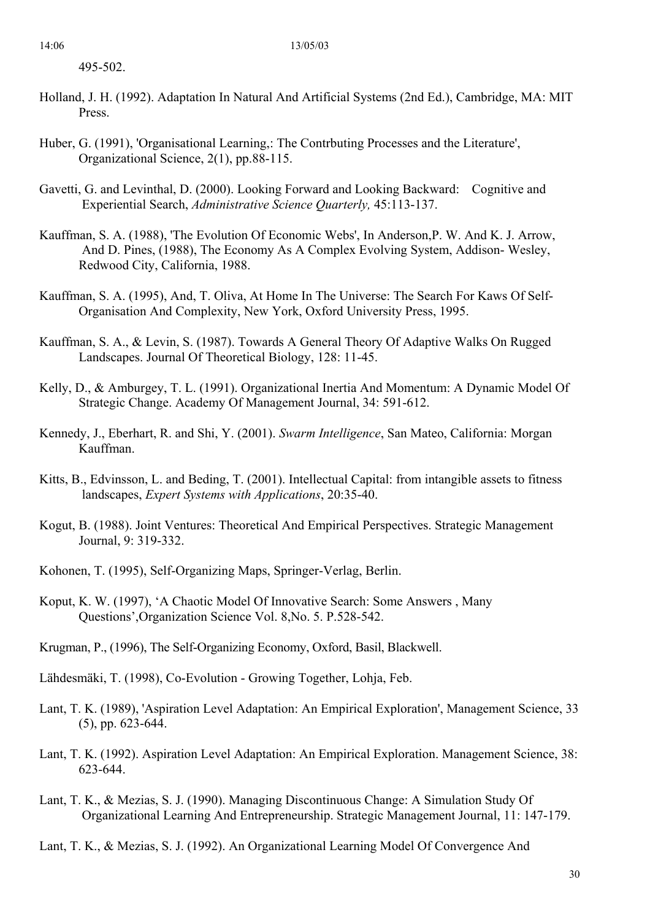495-502.

- Holland, J. H. (1992). Adaptation In Natural And Artificial Systems (2nd Ed.), Cambridge, MA: MIT Press.
- Huber, G. (1991), 'Organisational Learning,: The Contrbuting Processes and the Literature', Organizational Science, 2(1), pp.88-115.
- Gavetti, G. and Levinthal, D. (2000). Looking Forward and Looking Backward: Cognitive and Experiential Search, *Administrative Science Quarterly,* 45:113-137.
- Kauffman, S. A. (1988), 'The Evolution Of Economic Webs', In Anderson,P. W. And K. J. Arrow, And D. Pines, (1988), The Economy As A Complex Evolving System, Addison- Wesley, Redwood City, California, 1988.
- Kauffman, S. A. (1995), And, T. Oliva, At Home In The Universe: The Search For Kaws Of Self-Organisation And Complexity, New York, Oxford University Press, 1995.
- Kauffman, S. A., & Levin, S. (1987). Towards A General Theory Of Adaptive Walks On Rugged Landscapes. Journal Of Theoretical Biology, 128: 11-45.
- Kelly, D., & Amburgey, T. L. (1991). Organizational Inertia And Momentum: A Dynamic Model Of Strategic Change. Academy Of Management Journal, 34: 591-612.
- Kennedy, J., Eberhart, R. and Shi, Y. (2001). *Swarm Intelligence*, San Mateo, California: Morgan Kauffman.
- Kitts, B., Edvinsson, L. and Beding, T. (2001). Intellectual Capital: from intangible assets to fitness landscapes, *Expert Systems with Applications*, 20:35-40.
- Kogut, B. (1988). Joint Ventures: Theoretical And Empirical Perspectives. Strategic Management Journal, 9: 319-332.
- Kohonen, T. (1995), Self-Organizing Maps, Springer-Verlag, Berlin.
- Koput, K. W. (1997), 'A Chaotic Model Of Innovative Search: Some Answers , Many Questions',Organization Science Vol. 8,No. 5. P.528-542.
- Krugman, P., (1996), The Self-Organizing Economy, Oxford, Basil, Blackwell.
- Lähdesmäki, T. (1998), Co-Evolution Growing Together, Lohja, Feb.
- Lant, T. K. (1989), 'Aspiration Level Adaptation: An Empirical Exploration', Management Science, 33 (5), pp. 623-644.
- Lant, T. K. (1992). Aspiration Level Adaptation: An Empirical Exploration. Management Science, 38: 623-644.
- Lant, T. K., & Mezias, S. J. (1990). Managing Discontinuous Change: A Simulation Study Of Organizational Learning And Entrepreneurship. Strategic Management Journal, 11: 147-179.
- Lant, T. K., & Mezias, S. J. (1992). An Organizational Learning Model Of Convergence And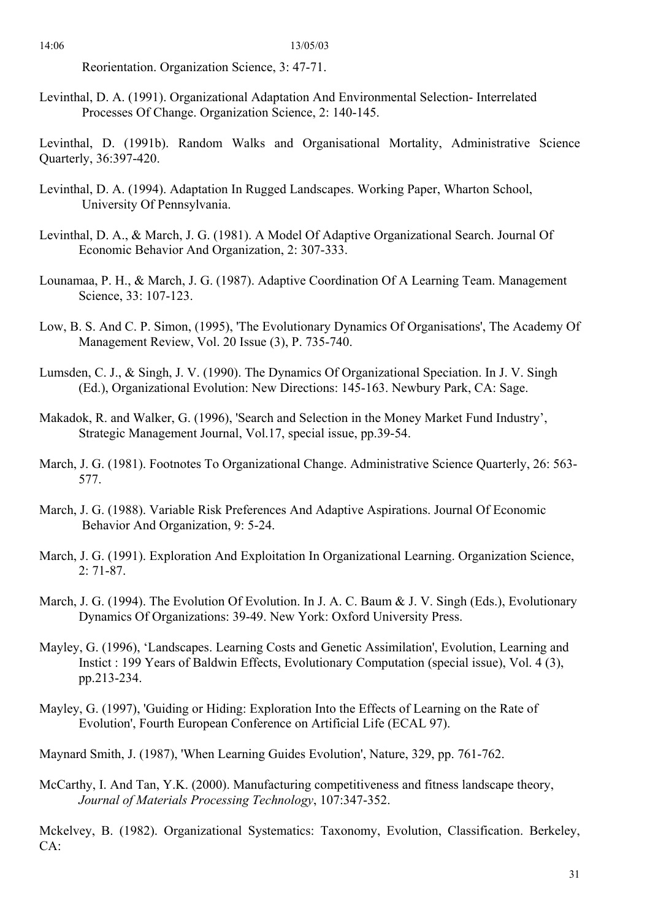Reorientation. Organization Science, 3: 47-71.

Levinthal, D. A. (1991). Organizational Adaptation And Environmental Selection- Interrelated Processes Of Change. Organization Science, 2: 140-145.

Levinthal, D. (1991b). Random Walks and Organisational Mortality, Administrative Science Quarterly, 36:397-420.

- Levinthal, D. A. (1994). Adaptation In Rugged Landscapes. Working Paper, Wharton School, University Of Pennsylvania.
- Levinthal, D. A., & March, J. G. (1981). A Model Of Adaptive Organizational Search. Journal Of Economic Behavior And Organization, 2: 307-333.
- Lounamaa, P. H., & March, J. G. (1987). Adaptive Coordination Of A Learning Team. Management Science, 33: 107-123.
- Low, B. S. And C. P. Simon, (1995), 'The Evolutionary Dynamics Of Organisations', The Academy Of Management Review, Vol. 20 Issue (3), P. 735-740.
- Lumsden, C. J., & Singh, J. V. (1990). The Dynamics Of Organizational Speciation. In J. V. Singh (Ed.), Organizational Evolution: New Directions: 145-163. Newbury Park, CA: Sage.
- Makadok, R. and Walker, G. (1996), 'Search and Selection in the Money Market Fund Industry', Strategic Management Journal, Vol.17, special issue, pp.39-54.
- March, J. G. (1981). Footnotes To Organizational Change. Administrative Science Quarterly, 26: 563- 577.
- March, J. G. (1988). Variable Risk Preferences And Adaptive Aspirations. Journal Of Economic Behavior And Organization, 9: 5-24.
- March, J. G. (1991). Exploration And Exploitation In Organizational Learning. Organization Science, 2: 71-87.
- March, J. G. (1994). The Evolution Of Evolution. In J. A. C. Baum & J. V. Singh (Eds.), Evolutionary Dynamics Of Organizations: 39-49. New York: Oxford University Press.
- Mayley, G. (1996), 'Landscapes. Learning Costs and Genetic Assimilation', Evolution, Learning and Instict : 199 Years of Baldwin Effects, Evolutionary Computation (special issue), Vol. 4 (3), pp.213-234.
- Mayley, G. (1997), 'Guiding or Hiding: Exploration Into the Effects of Learning on the Rate of Evolution', Fourth European Conference on Artificial Life (ECAL 97).

Maynard Smith, J. (1987), 'When Learning Guides Evolution', Nature, 329, pp. 761-762.

McCarthy, I. And Tan, Y.K. (2000). Manufacturing competitiveness and fitness landscape theory, *Journal of Materials Processing Technology*, 107:347-352.

Mckelvey, B. (1982). Organizational Systematics: Taxonomy, Evolution, Classification. Berkeley, CA: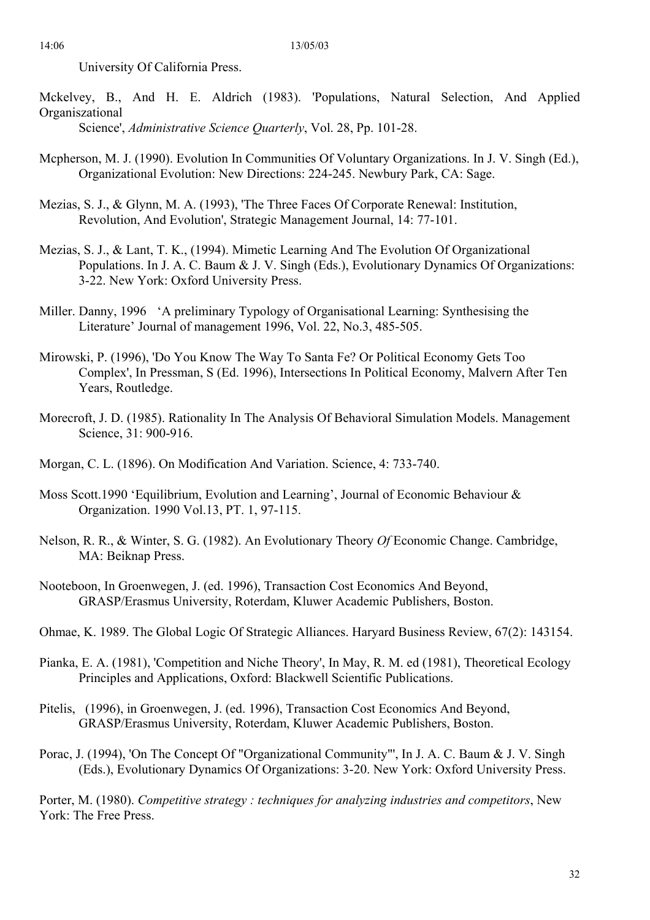University Of California Press.

- Mckelvey, B., And H. E. Aldrich (1983). 'Populations, Natural Selection, And Applied Organiszational Science', *Administrative Science Quarterly*, Vol. 28, Pp. 101-28.
- Mcpherson, M. J. (1990). Evolution In Communities Of Voluntary Organizations. In J. V. Singh (Ed.), Organizational Evolution: New Directions: 224-245. Newbury Park, CA: Sage.
- Mezias, S. J., & Glynn, M. A. (1993), 'The Three Faces Of Corporate Renewal: Institution, Revolution, And Evolution', Strategic Management Journal, 14: 77-101.
- Mezias, S. J., & Lant, T. K., (1994). Mimetic Learning And The Evolution Of Organizational Populations. In J. A. C. Baum & J. V. Singh (Eds.), Evolutionary Dynamics Of Organizations: 3-22. New York: Oxford University Press.
- Miller. Danny, 1996 'A preliminary Typology of Organisational Learning: Synthesising the Literature' Journal of management 1996, Vol. 22, No.3, 485-505.
- Mirowski, P. (1996), 'Do You Know The Way To Santa Fe? Or Political Economy Gets Too Complex', In Pressman, S (Ed. 1996), Intersections In Political Economy, Malvern After Ten Years, Routledge.
- Morecroft, J. D. (1985). Rationality In The Analysis Of Behavioral Simulation Models. Management Science, 31: 900-916.
- Morgan, C. L. (1896). On Modification And Variation. Science, 4: 733-740.
- Moss Scott.1990 'Equilibrium, Evolution and Learning', Journal of Economic Behaviour & Organization. 1990 Vol.13, PT. 1, 97-115.
- Nelson, R. R., & Winter, S. G. (1982). An Evolutionary Theory *Of* Economic Change. Cambridge, MA: Beiknap Press.
- Nooteboon, In Groenwegen, J. (ed. 1996), Transaction Cost Economics And Beyond, GRASP/Erasmus University, Roterdam, Kluwer Academic Publishers, Boston.
- Ohmae, K. 1989. The Global Logic Of Strategic Alliances. Haryard Business Review, 67(2): 143154.
- Pianka, E. A. (1981), 'Competition and Niche Theory', In May, R. M. ed (1981), Theoretical Ecology Principles and Applications, Oxford: Blackwell Scientific Publications.
- Pitelis, (1996), in Groenwegen, J. (ed. 1996), Transaction Cost Economics And Beyond, GRASP/Erasmus University, Roterdam, Kluwer Academic Publishers, Boston.
- Porac, J. (1994), 'On The Concept Of "Organizational Community"', In J. A. C. Baum & J. V. Singh (Eds.), Evolutionary Dynamics Of Organizations: 3-20. New York: Oxford University Press.

Porter, M. (1980). *Competitive strategy : techniques for analyzing industries and competitors*, New York: The Free Press.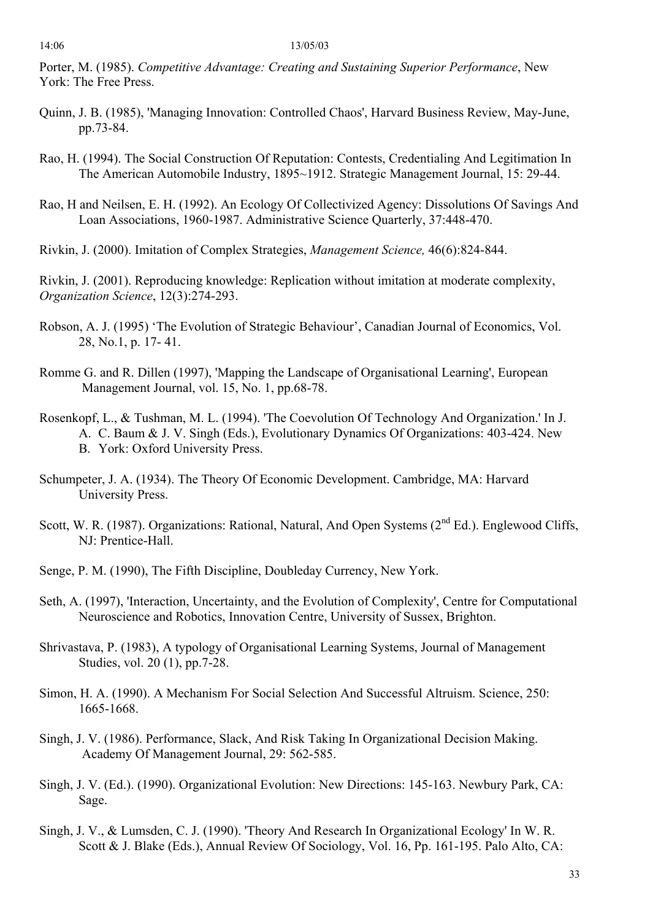Porter, M. (1985). *Competitive Advantage: Creating and Sustaining Superior Performance*, New York: The Free Press.

- Quinn, J. B. (1985), 'Managing Innovation: Controlled Chaos', Harvard Business Review, May-June, pp.73-84.
- Rao, H. (1994). The Social Construction Of Reputation: Contests, Credentialing And Legitimation In The American Automobile Industry, 1895~1912. Strategic Management Journal, 15: 29-44.
- Rao, H and Neilsen, E. H. (1992). An Ecology Of Collectivized Agency: Dissolutions Of Savings And Loan Associations, 1960-1987. Administrative Science Quarterly, 37:448-470.
- Rivkin, J. (2000). Imitation of Complex Strategies, *Management Science,* 46(6):824-844.

Rivkin, J. (2001). Reproducing knowledge: Replication without imitation at moderate complexity, *Organization Science*, 12(3):274-293.

- Robson, A. J. (1995) 'The Evolution of Strategic Behaviour', Canadian Journal of Economics, Vol. 28, No.1, p. 17- 41.
- Romme G. and R. Dillen (1997), 'Mapping the Landscape of Organisational Learning', European Management Journal, vol. 15, No. 1, pp.68-78.
- Rosenkopf, L., & Tushman, M. L. (1994). 'The Coevolution Of Technology And Organization.' In J. A. C. Baum & J. V. Singh (Eds.), Evolutionary Dynamics Of Organizations: 403-424. New B. York: Oxford University Press.
- Schumpeter, J. A. (1934). The Theory Of Economic Development. Cambridge, MA: Harvard University Press.
- Scott, W. R. (1987). Organizations: Rational, Natural, And Open Systems ( $2<sup>nd</sup> Ed$ .). Englewood Cliffs, NJ: Prentice-Hall.
- Senge, P. M. (1990), The Fifth Discipline, Doubleday Currency, New York.
- Seth, A. (1997), 'Interaction, Uncertainty, and the Evolution of Complexity', Centre for Computational Neuroscience and Robotics, Innovation Centre, University of Sussex, Brighton.
- Shrivastava, P. (1983), A typology of Organisational Learning Systems, Journal of Management Studies, vol. 20 (1), pp.7-28.
- Simon, H. A. (1990). A Mechanism For Social Selection And Successful Altruism. Science, 250: 1665-1668.
- Singh, J. V. (1986). Performance, Slack, And Risk Taking In Organizational Decision Making. Academy Of Management Journal, 29: 562-585.
- Singh, J. V. (Ed.). (1990). Organizational Evolution: New Directions: 145-163. Newbury Park, CA: Sage.
- Singh, J. V., & Lumsden, C. J. (1990). 'Theory And Research In Organizational Ecology' In W. R. Scott & J. Blake (Eds.), Annual Review Of Sociology, Vol. 16, Pp. 161-195. Palo Alto, CA: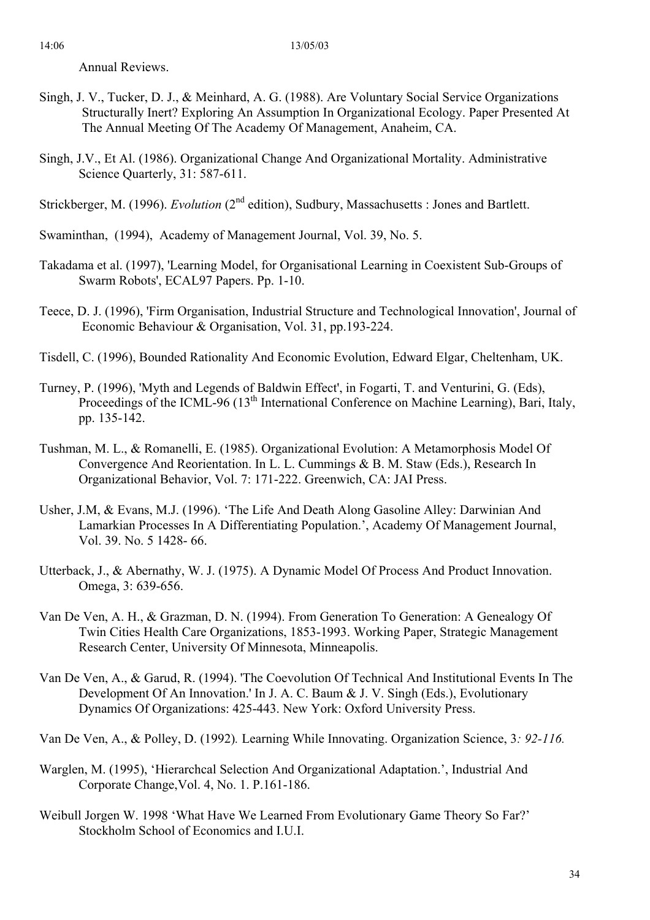Annual Reviews.

- Singh, J. V., Tucker, D. J., & Meinhard, A. G. (1988). Are Voluntary Social Service Organizations Structurally Inert? Exploring An Assumption In Organizational Ecology. Paper Presented At The Annual Meeting Of The Academy Of Management, Anaheim, CA.
- Singh, J.V., Et Al. (1986). Organizational Change And Organizational Mortality. Administrative Science Quarterly, 31: 587-611.
- Strickberger, M. (1996). *Evolution* (2<sup>nd</sup> edition), Sudbury, Massachusetts : Jones and Bartlett.
- Swaminthan, (1994), Academy of Management Journal, Vol. 39, No. 5.
- Takadama et al. (1997), 'Learning Model, for Organisational Learning in Coexistent Sub-Groups of Swarm Robots', ECAL97 Papers. Pp. 1-10.
- Teece, D. J. (1996), 'Firm Organisation, Industrial Structure and Technological Innovation', Journal of Economic Behaviour & Organisation, Vol. 31, pp.193-224.
- Tisdell, C. (1996), Bounded Rationality And Economic Evolution, Edward Elgar, Cheltenham, UK.
- Turney, P. (1996), 'Myth and Legends of Baldwin Effect', in Fogarti, T. and Venturini, G. (Eds), Proceedings of the ICML-96 (13<sup>th</sup> International Conference on Machine Learning), Bari, Italy, pp. 135-142.
- Tushman, M. L., & Romanelli, E. (1985). Organizational Evolution: A Metamorphosis Model Of Convergence And Reorientation. In L. L. Cummings & B. M. Staw (Eds.), Research In Organizational Behavior, Vol. 7: 171-222. Greenwich, CA: JAI Press.
- Usher, J.M, & Evans, M.J. (1996). 'The Life And Death Along Gasoline Alley: Darwinian And Lamarkian Processes In A Differentiating Population.', Academy Of Management Journal, Vol. 39. No. 5 1428- 66.
- Utterback, J., & Abernathy, W. J. (1975). A Dynamic Model Of Process And Product Innovation. Omega, 3: 639-656.
- Van De Ven, A. H., & Grazman, D. N. (1994). From Generation To Generation: A Genealogy Of Twin Cities Health Care Organizations, 1853-1993. Working Paper, Strategic Management Research Center, University Of Minnesota, Minneapolis.
- Van De Ven, A., & Garud, R. (1994). 'The Coevolution Of Technical And Institutional Events In The Development Of An Innovation.' In J. A. C. Baum & J. V. Singh (Eds.), Evolutionary Dynamics Of Organizations: 425-443. New York: Oxford University Press.
- Van De Ven, A., & Polley, D. (1992)*.* Learning While Innovating. Organization Science, 3*: 92-116.*
- Warglen, M. (1995), 'Hierarchcal Selection And Organizational Adaptation.', Industrial And Corporate Change,Vol. 4, No. 1. P.161-186.
- Weibull Jorgen W. 1998 'What Have We Learned From Evolutionary Game Theory So Far?' Stockholm School of Economics and I.U.I.